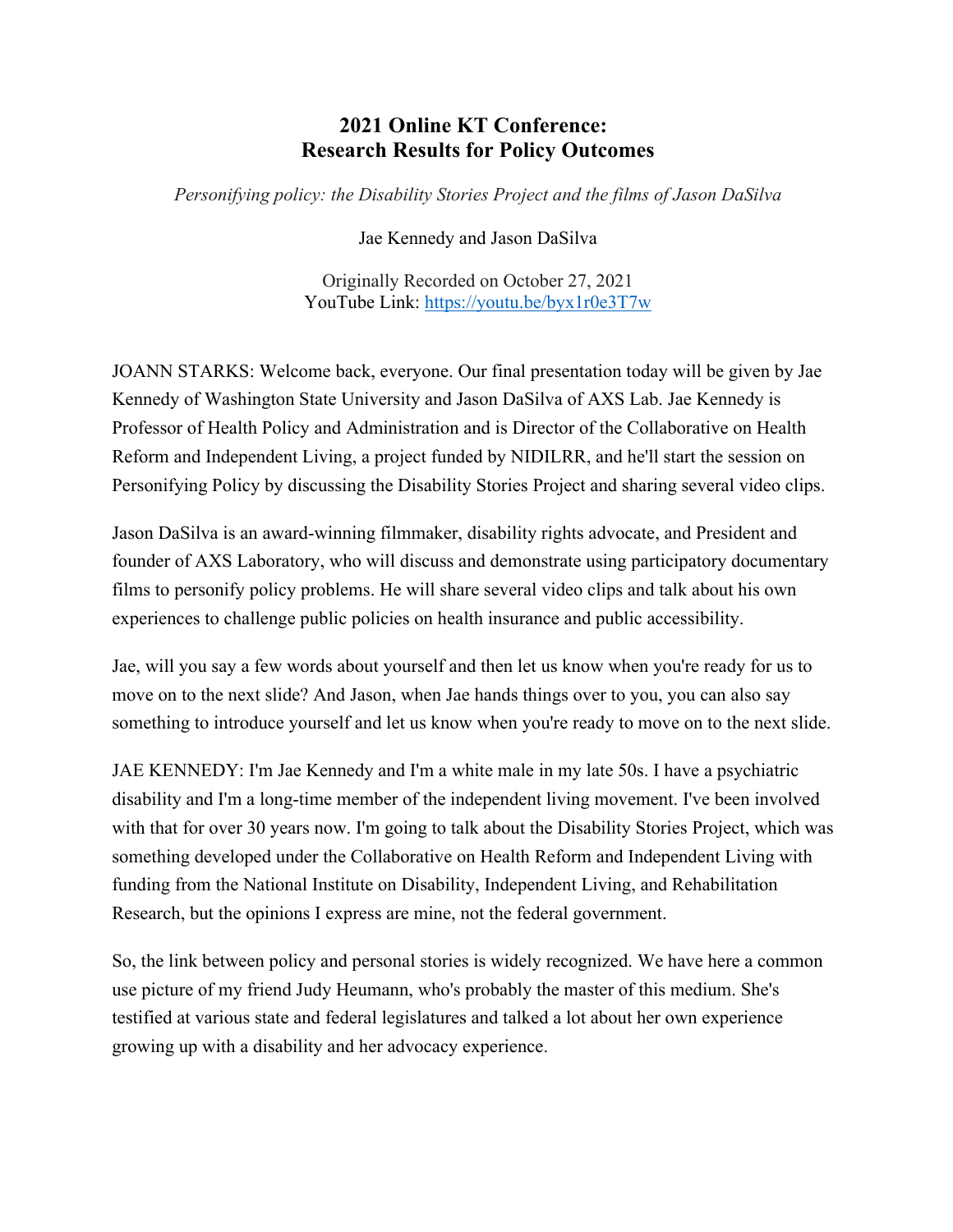# **2021 Online KT Conference: Research Results for Policy Outcomes**

*Personifying policy: the Disability Stories Project and the films of Jason DaSilva*

Jae Kennedy and Jason DaSilva

Originally Recorded on October 27, 2021 YouTube Link: <https://youtu.be/byx1r0e3T7w>

JOANN STARKS: Welcome back, everyone. Our final presentation today will be given by Jae Kennedy of Washington State University and Jason DaSilva of AXS Lab. Jae Kennedy is Professor of Health Policy and Administration and is Director of the Collaborative on Health Reform and Independent Living, a project funded by NIDILRR, and he'll start the session on Personifying Policy by discussing the Disability Stories Project and sharing several video clips.

Jason DaSilva is an award-winning filmmaker, disability rights advocate, and President and founder of AXS Laboratory, who will discuss and demonstrate using participatory documentary films to personify policy problems. He will share several video clips and talk about his own experiences to challenge public policies on health insurance and public accessibility.

Jae, will you say a few words about yourself and then let us know when you're ready for us to move on to the next slide? And Jason, when Jae hands things over to you, you can also say something to introduce yourself and let us know when you're ready to move on to the next slide.

JAE KENNEDY: I'm Jae Kennedy and I'm a white male in my late 50s. I have a psychiatric disability and I'm a long-time member of the independent living movement. I've been involved with that for over 30 years now. I'm going to talk about the Disability Stories Project, which was something developed under the Collaborative on Health Reform and Independent Living with funding from the National Institute on Disability, Independent Living, and Rehabilitation Research, but the opinions I express are mine, not the federal government.

So, the link between policy and personal stories is widely recognized. We have here a common use picture of my friend Judy Heumann, who's probably the master of this medium. She's testified at various state and federal legislatures and talked a lot about her own experience growing up with a disability and her advocacy experience.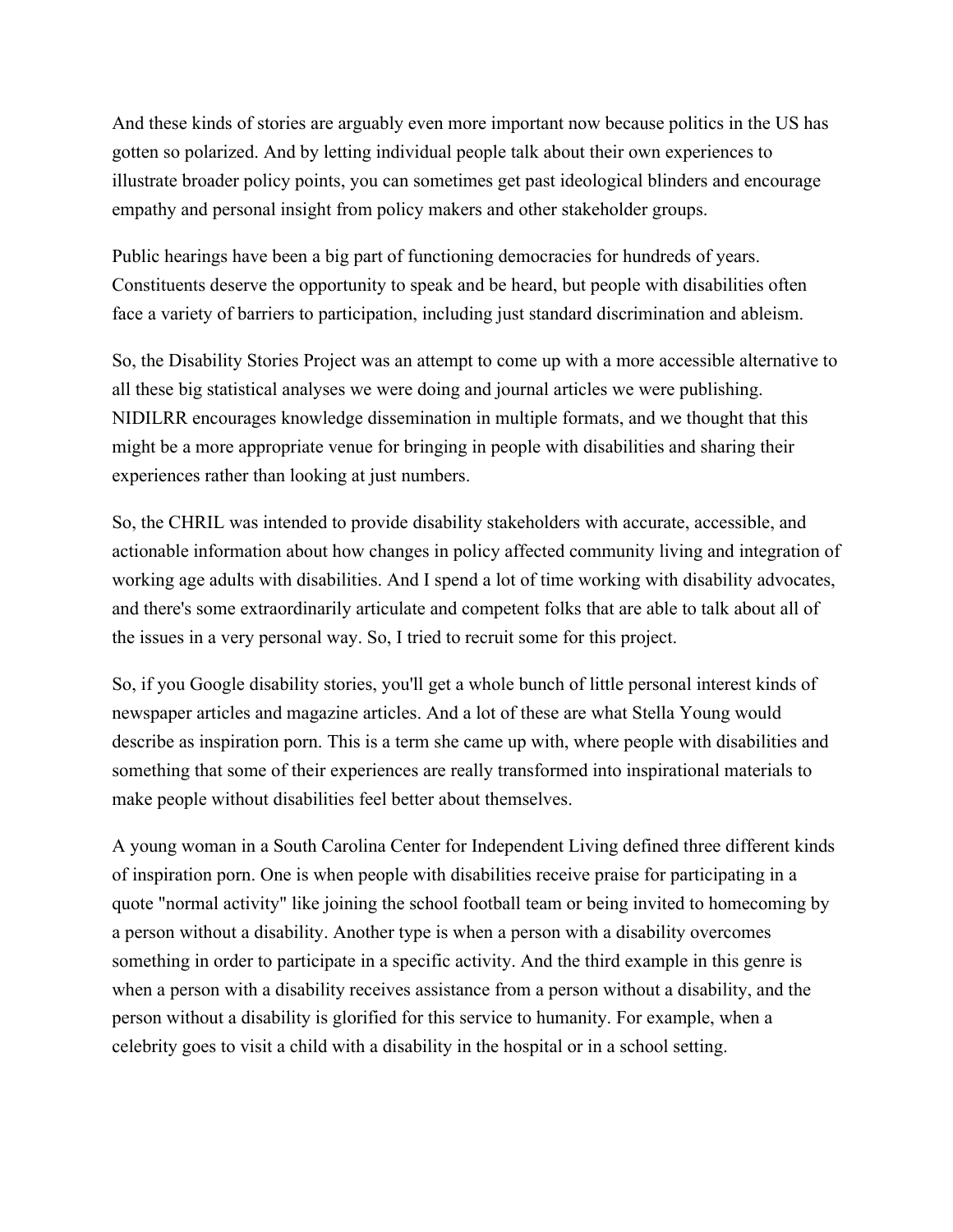And these kinds of stories are arguably even more important now because politics in the US has gotten so polarized. And by letting individual people talk about their own experiences to illustrate broader policy points, you can sometimes get past ideological blinders and encourage empathy and personal insight from policy makers and other stakeholder groups.

Public hearings have been a big part of functioning democracies for hundreds of years. Constituents deserve the opportunity to speak and be heard, but people with disabilities often face a variety of barriers to participation, including just standard discrimination and ableism.

So, the Disability Stories Project was an attempt to come up with a more accessible alternative to all these big statistical analyses we were doing and journal articles we were publishing. NIDILRR encourages knowledge dissemination in multiple formats, and we thought that this might be a more appropriate venue for bringing in people with disabilities and sharing their experiences rather than looking at just numbers.

So, the CHRIL was intended to provide disability stakeholders with accurate, accessible, and actionable information about how changes in policy affected community living and integration of working age adults with disabilities. And I spend a lot of time working with disability advocates, and there's some extraordinarily articulate and competent folks that are able to talk about all of the issues in a very personal way. So, I tried to recruit some for this project.

So, if you Google disability stories, you'll get a whole bunch of little personal interest kinds of newspaper articles and magazine articles. And a lot of these are what Stella Young would describe as inspiration porn. This is a term she came up with, where people with disabilities and something that some of their experiences are really transformed into inspirational materials to make people without disabilities feel better about themselves.

A young woman in a South Carolina Center for Independent Living defined three different kinds of inspiration porn. One is when people with disabilities receive praise for participating in a quote "normal activity" like joining the school football team or being invited to homecoming by a person without a disability. Another type is when a person with a disability overcomes something in order to participate in a specific activity. And the third example in this genre is when a person with a disability receives assistance from a person without a disability, and the person without a disability is glorified for this service to humanity. For example, when a celebrity goes to visit a child with a disability in the hospital or in a school setting.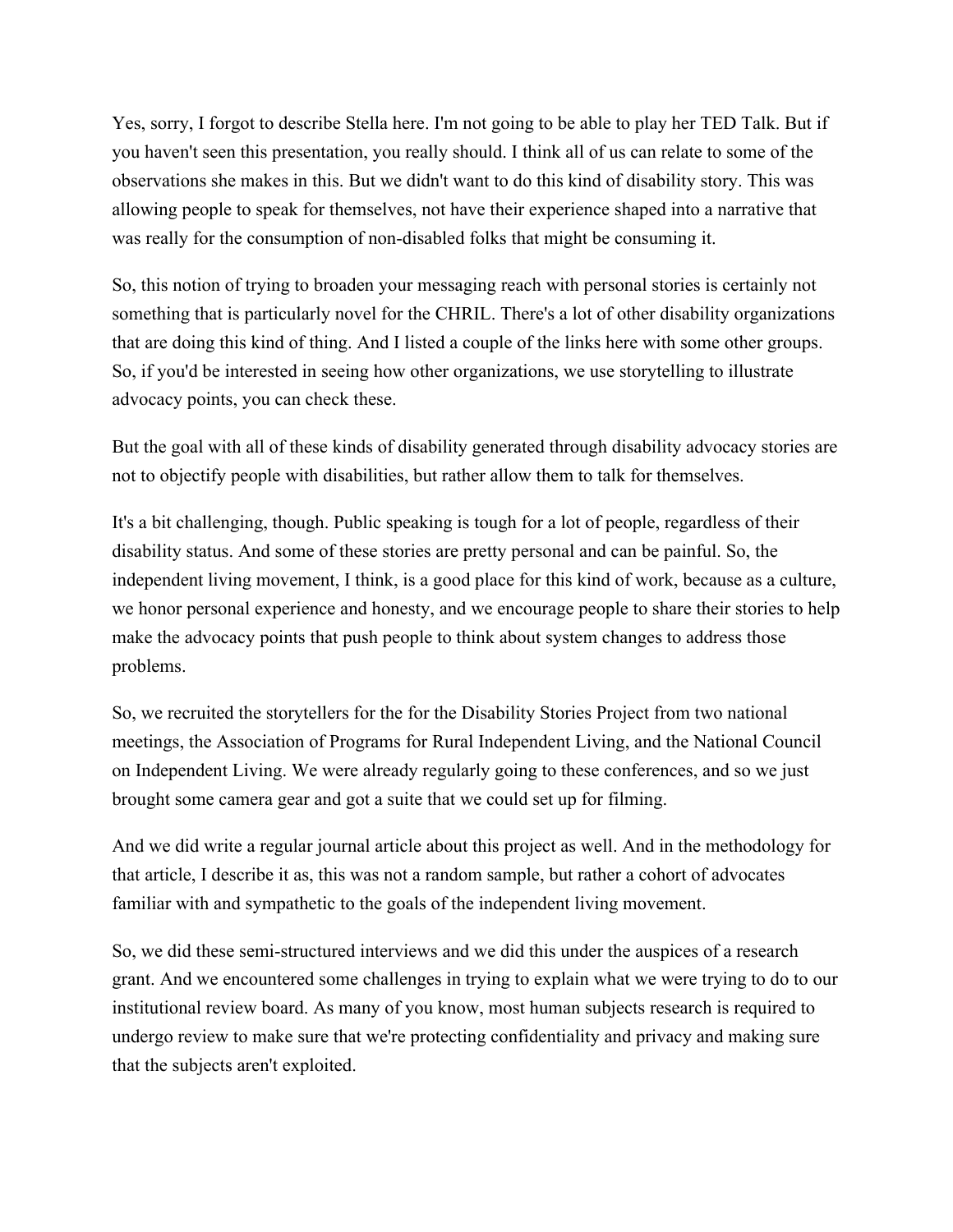Yes, sorry, I forgot to describe Stella here. I'm not going to be able to play her TED Talk. But if you haven't seen this presentation, you really should. I think all of us can relate to some of the observations she makes in this. But we didn't want to do this kind of disability story. This was allowing people to speak for themselves, not have their experience shaped into a narrative that was really for the consumption of non-disabled folks that might be consuming it.

So, this notion of trying to broaden your messaging reach with personal stories is certainly not something that is particularly novel for the CHRIL. There's a lot of other disability organizations that are doing this kind of thing. And I listed a couple of the links here with some other groups. So, if you'd be interested in seeing how other organizations, we use storytelling to illustrate advocacy points, you can check these.

But the goal with all of these kinds of disability generated through disability advocacy stories are not to objectify people with disabilities, but rather allow them to talk for themselves.

It's a bit challenging, though. Public speaking is tough for a lot of people, regardless of their disability status. And some of these stories are pretty personal and can be painful. So, the independent living movement, I think, is a good place for this kind of work, because as a culture, we honor personal experience and honesty, and we encourage people to share their stories to help make the advocacy points that push people to think about system changes to address those problems.

So, we recruited the storytellers for the for the Disability Stories Project from two national meetings, the Association of Programs for Rural Independent Living, and the National Council on Independent Living. We were already regularly going to these conferences, and so we just brought some camera gear and got a suite that we could set up for filming.

And we did write a regular journal article about this project as well. And in the methodology for that article, I describe it as, this was not a random sample, but rather a cohort of advocates familiar with and sympathetic to the goals of the independent living movement.

So, we did these semi-structured interviews and we did this under the auspices of a research grant. And we encountered some challenges in trying to explain what we were trying to do to our institutional review board. As many of you know, most human subjects research is required to undergo review to make sure that we're protecting confidentiality and privacy and making sure that the subjects aren't exploited.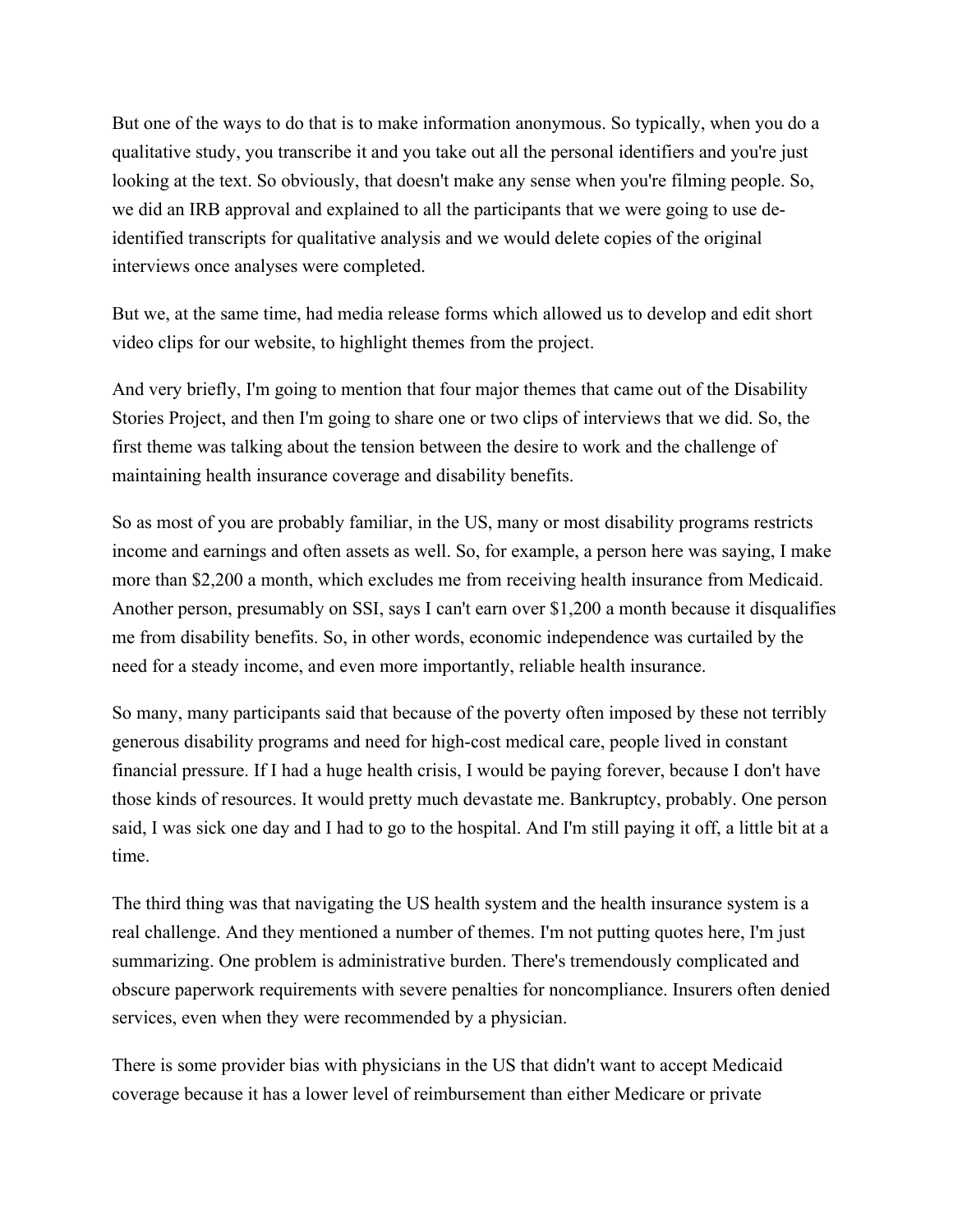But one of the ways to do that is to make information anonymous. So typically, when you do a qualitative study, you transcribe it and you take out all the personal identifiers and you're just looking at the text. So obviously, that doesn't make any sense when you're filming people. So, we did an IRB approval and explained to all the participants that we were going to use deidentified transcripts for qualitative analysis and we would delete copies of the original interviews once analyses were completed.

But we, at the same time, had media release forms which allowed us to develop and edit short video clips for our website, to highlight themes from the project.

And very briefly, I'm going to mention that four major themes that came out of the Disability Stories Project, and then I'm going to share one or two clips of interviews that we did. So, the first theme was talking about the tension between the desire to work and the challenge of maintaining health insurance coverage and disability benefits.

So as most of you are probably familiar, in the US, many or most disability programs restricts income and earnings and often assets as well. So, for example, a person here was saying, I make more than \$2,200 a month, which excludes me from receiving health insurance from Medicaid. Another person, presumably on SSI, says I can't earn over \$1,200 a month because it disqualifies me from disability benefits. So, in other words, economic independence was curtailed by the need for a steady income, and even more importantly, reliable health insurance.

So many, many participants said that because of the poverty often imposed by these not terribly generous disability programs and need for high-cost medical care, people lived in constant financial pressure. If I had a huge health crisis, I would be paying forever, because I don't have those kinds of resources. It would pretty much devastate me. Bankruptcy, probably. One person said, I was sick one day and I had to go to the hospital. And I'm still paying it off, a little bit at a time.

The third thing was that navigating the US health system and the health insurance system is a real challenge. And they mentioned a number of themes. I'm not putting quotes here, I'm just summarizing. One problem is administrative burden. There's tremendously complicated and obscure paperwork requirements with severe penalties for noncompliance. Insurers often denied services, even when they were recommended by a physician.

There is some provider bias with physicians in the US that didn't want to accept Medicaid coverage because it has a lower level of reimbursement than either Medicare or private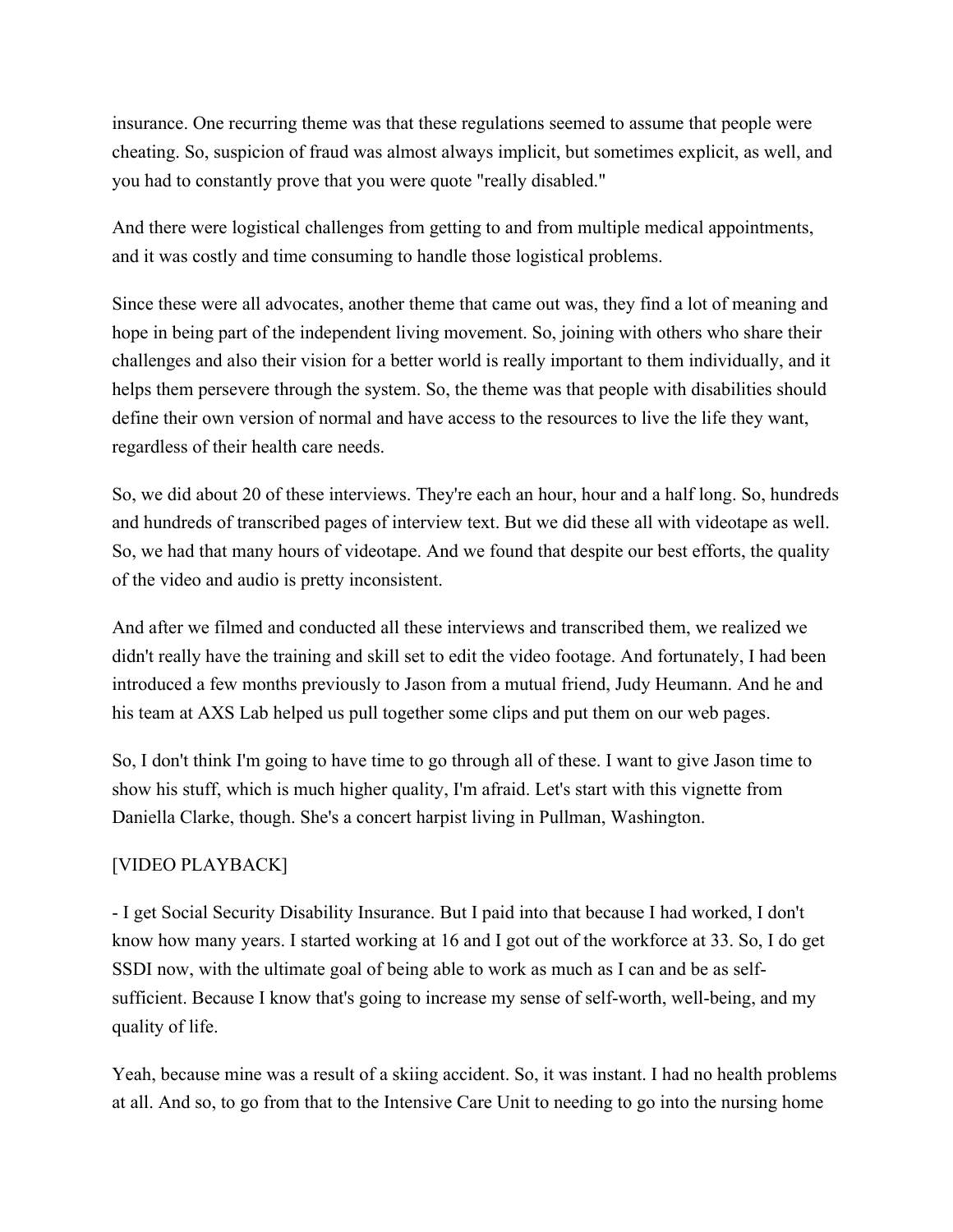insurance. One recurring theme was that these regulations seemed to assume that people were cheating. So, suspicion of fraud was almost always implicit, but sometimes explicit, as well, and you had to constantly prove that you were quote "really disabled."

And there were logistical challenges from getting to and from multiple medical appointments, and it was costly and time consuming to handle those logistical problems.

Since these were all advocates, another theme that came out was, they find a lot of meaning and hope in being part of the independent living movement. So, joining with others who share their challenges and also their vision for a better world is really important to them individually, and it helps them persevere through the system. So, the theme was that people with disabilities should define their own version of normal and have access to the resources to live the life they want, regardless of their health care needs.

So, we did about 20 of these interviews. They're each an hour, hour and a half long. So, hundreds and hundreds of transcribed pages of interview text. But we did these all with videotape as well. So, we had that many hours of videotape. And we found that despite our best efforts, the quality of the video and audio is pretty inconsistent.

And after we filmed and conducted all these interviews and transcribed them, we realized we didn't really have the training and skill set to edit the video footage. And fortunately, I had been introduced a few months previously to Jason from a mutual friend, Judy Heumann. And he and his team at AXS Lab helped us pull together some clips and put them on our web pages.

So, I don't think I'm going to have time to go through all of these. I want to give Jason time to show his stuff, which is much higher quality, I'm afraid. Let's start with this vignette from Daniella Clarke, though. She's a concert harpist living in Pullman, Washington.

# [VIDEO PLAYBACK]

- I get Social Security Disability Insurance. But I paid into that because I had worked, I don't know how many years. I started working at 16 and I got out of the workforce at 33. So, I do get SSDI now, with the ultimate goal of being able to work as much as I can and be as selfsufficient. Because I know that's going to increase my sense of self-worth, well-being, and my quality of life.

Yeah, because mine was a result of a skiing accident. So, it was instant. I had no health problems at all. And so, to go from that to the Intensive Care Unit to needing to go into the nursing home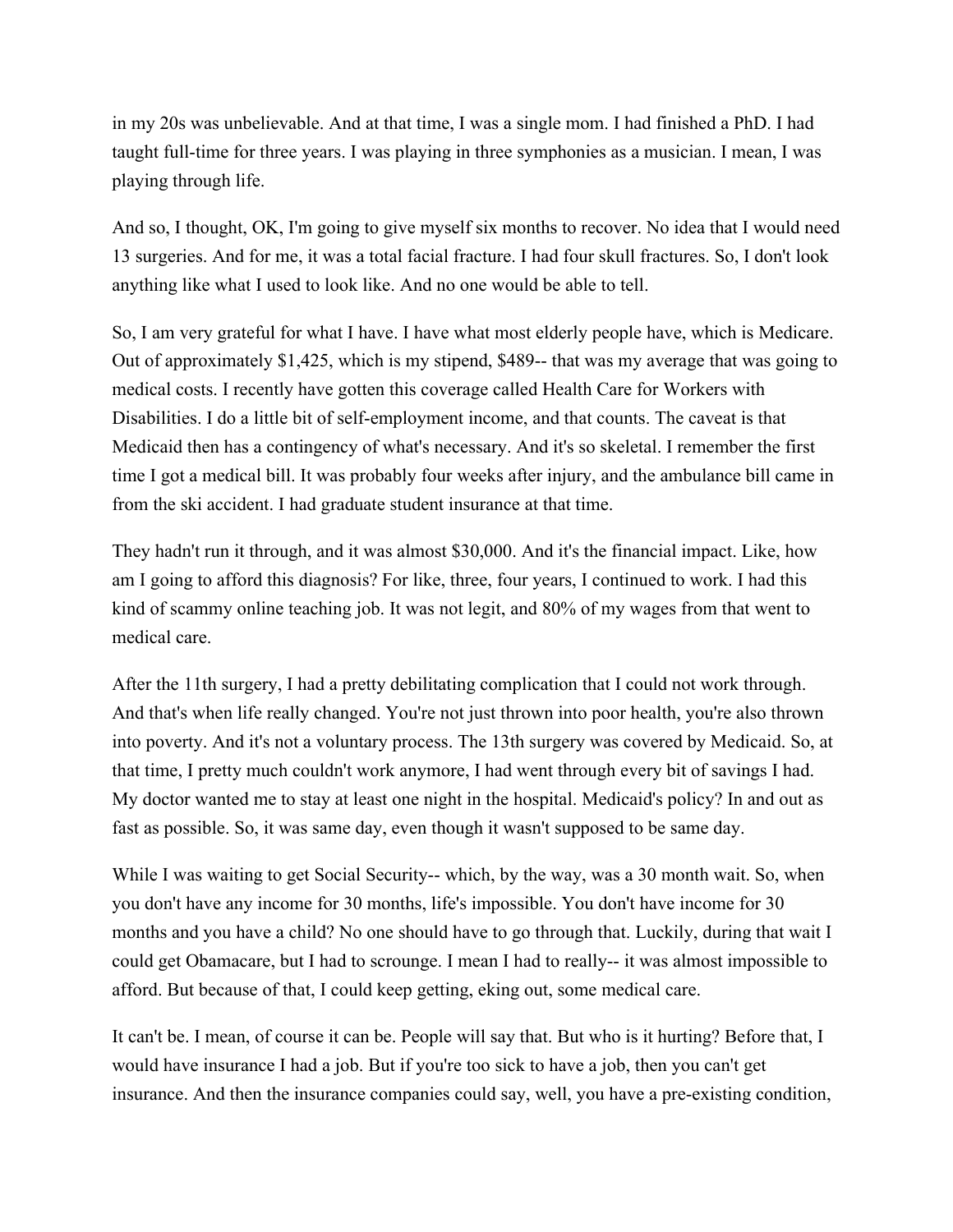in my 20s was unbelievable. And at that time, I was a single mom. I had finished a PhD. I had taught full-time for three years. I was playing in three symphonies as a musician. I mean, I was playing through life.

And so, I thought, OK, I'm going to give myself six months to recover. No idea that I would need 13 surgeries. And for me, it was a total facial fracture. I had four skull fractures. So, I don't look anything like what I used to look like. And no one would be able to tell.

So, I am very grateful for what I have. I have what most elderly people have, which is Medicare. Out of approximately \$1,425, which is my stipend, \$489-- that was my average that was going to medical costs. I recently have gotten this coverage called Health Care for Workers with Disabilities. I do a little bit of self-employment income, and that counts. The caveat is that Medicaid then has a contingency of what's necessary. And it's so skeletal. I remember the first time I got a medical bill. It was probably four weeks after injury, and the ambulance bill came in from the ski accident. I had graduate student insurance at that time.

They hadn't run it through, and it was almost \$30,000. And it's the financial impact. Like, how am I going to afford this diagnosis? For like, three, four years, I continued to work. I had this kind of scammy online teaching job. It was not legit, and 80% of my wages from that went to medical care.

After the 11th surgery, I had a pretty debilitating complication that I could not work through. And that's when life really changed. You're not just thrown into poor health, you're also thrown into poverty. And it's not a voluntary process. The 13th surgery was covered by Medicaid. So, at that time, I pretty much couldn't work anymore, I had went through every bit of savings I had. My doctor wanted me to stay at least one night in the hospital. Medicaid's policy? In and out as fast as possible. So, it was same day, even though it wasn't supposed to be same day.

While I was waiting to get Social Security-- which, by the way, was a 30 month wait. So, when you don't have any income for 30 months, life's impossible. You don't have income for 30 months and you have a child? No one should have to go through that. Luckily, during that wait I could get Obamacare, but I had to scrounge. I mean I had to really-- it was almost impossible to afford. But because of that, I could keep getting, eking out, some medical care.

It can't be. I mean, of course it can be. People will say that. But who is it hurting? Before that, I would have insurance I had a job. But if you're too sick to have a job, then you can't get insurance. And then the insurance companies could say, well, you have a pre-existing condition,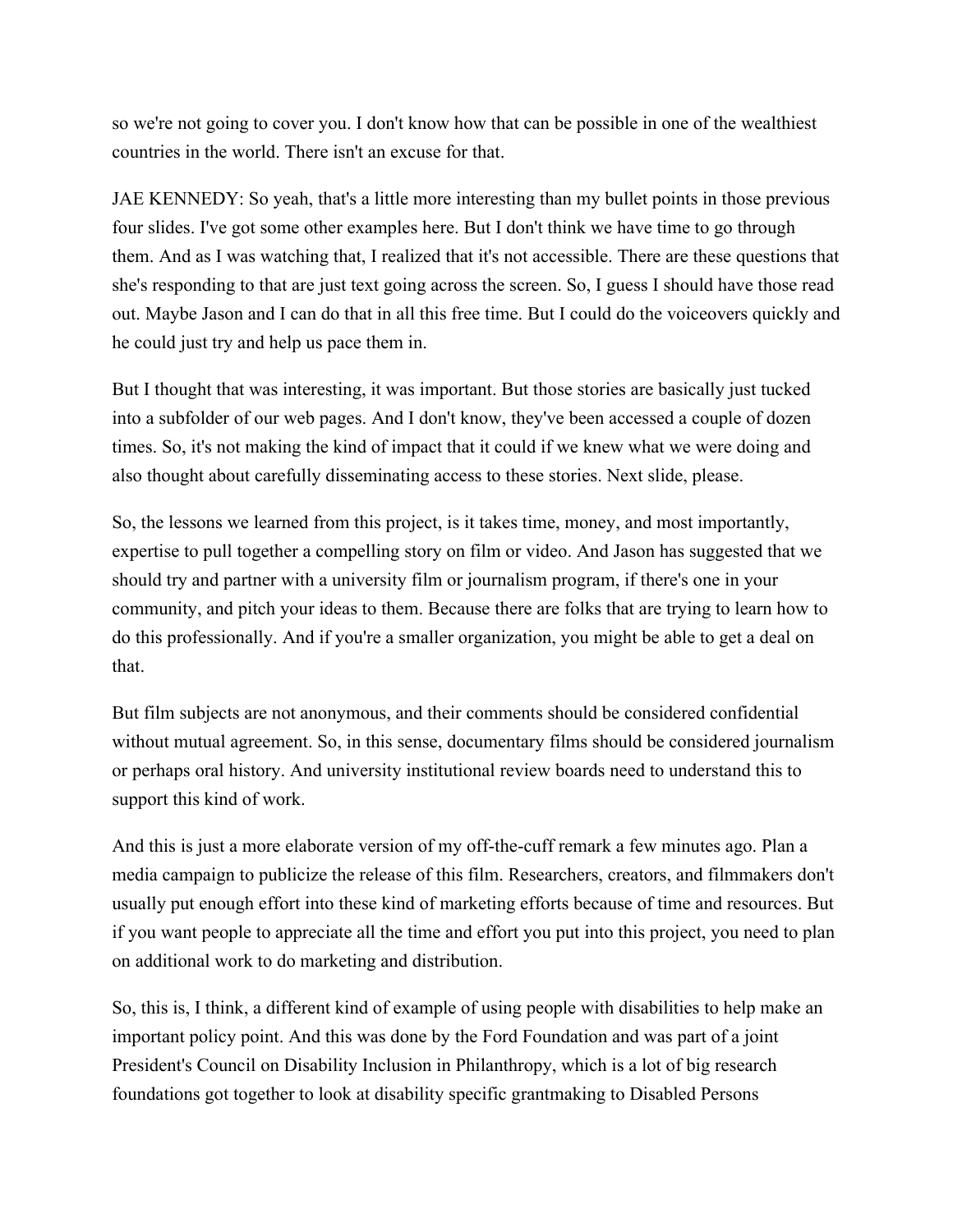so we're not going to cover you. I don't know how that can be possible in one of the wealthiest countries in the world. There isn't an excuse for that.

JAE KENNEDY: So yeah, that's a little more interesting than my bullet points in those previous four slides. I've got some other examples here. But I don't think we have time to go through them. And as I was watching that, I realized that it's not accessible. There are these questions that she's responding to that are just text going across the screen. So, I guess I should have those read out. Maybe Jason and I can do that in all this free time. But I could do the voiceovers quickly and he could just try and help us pace them in.

But I thought that was interesting, it was important. But those stories are basically just tucked into a subfolder of our web pages. And I don't know, they've been accessed a couple of dozen times. So, it's not making the kind of impact that it could if we knew what we were doing and also thought about carefully disseminating access to these stories. Next slide, please.

So, the lessons we learned from this project, is it takes time, money, and most importantly, expertise to pull together a compelling story on film or video. And Jason has suggested that we should try and partner with a university film or journalism program, if there's one in your community, and pitch your ideas to them. Because there are folks that are trying to learn how to do this professionally. And if you're a smaller organization, you might be able to get a deal on that.

But film subjects are not anonymous, and their comments should be considered confidential without mutual agreement. So, in this sense, documentary films should be considered journalism or perhaps oral history. And university institutional review boards need to understand this to support this kind of work.

And this is just a more elaborate version of my off-the-cuff remark a few minutes ago. Plan a media campaign to publicize the release of this film. Researchers, creators, and filmmakers don't usually put enough effort into these kind of marketing efforts because of time and resources. But if you want people to appreciate all the time and effort you put into this project, you need to plan on additional work to do marketing and distribution.

So, this is, I think, a different kind of example of using people with disabilities to help make an important policy point. And this was done by the Ford Foundation and was part of a joint President's Council on Disability Inclusion in Philanthropy, which is a lot of big research foundations got together to look at disability specific grantmaking to Disabled Persons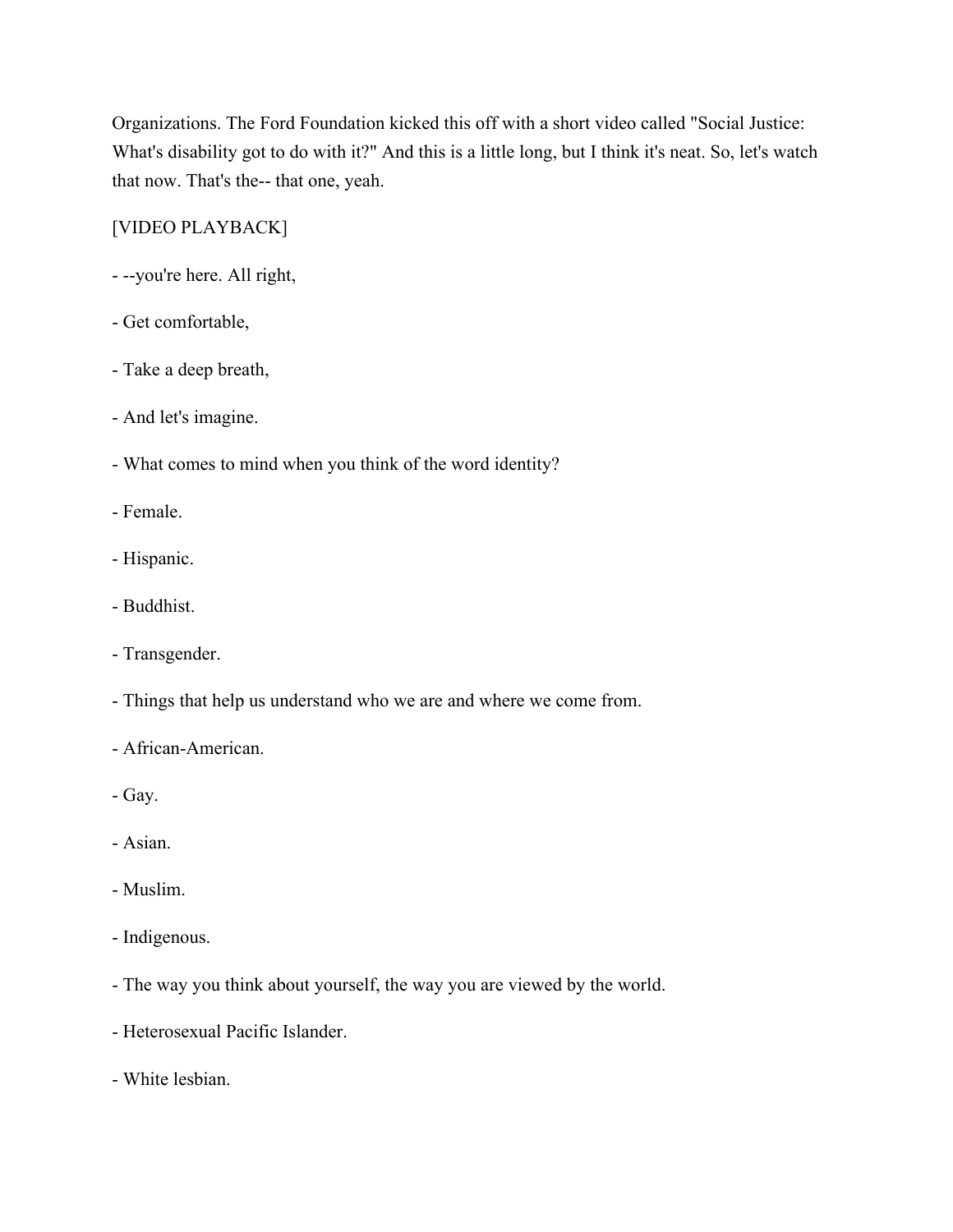Organizations. The Ford Foundation kicked this off with a short video called "Social Justice: What's disability got to do with it?" And this is a little long, but I think it's neat. So, let's watch that now. That's the-- that one, yeah.

## [VIDEO PLAYBACK]

- --you're here. All right,
- Get comfortable,
- Take a deep breath,
- And let's imagine.
- What comes to mind when you think of the word identity?
- Female.
- Hispanic.
- Buddhist.
- Transgender.
- Things that help us understand who we are and where we come from.
- African-American.
- Gay.
- Asian.
- Muslim.
- Indigenous.
- The way you think about yourself, the way you are viewed by the world.
- Heterosexual Pacific Islander.
- White lesbian.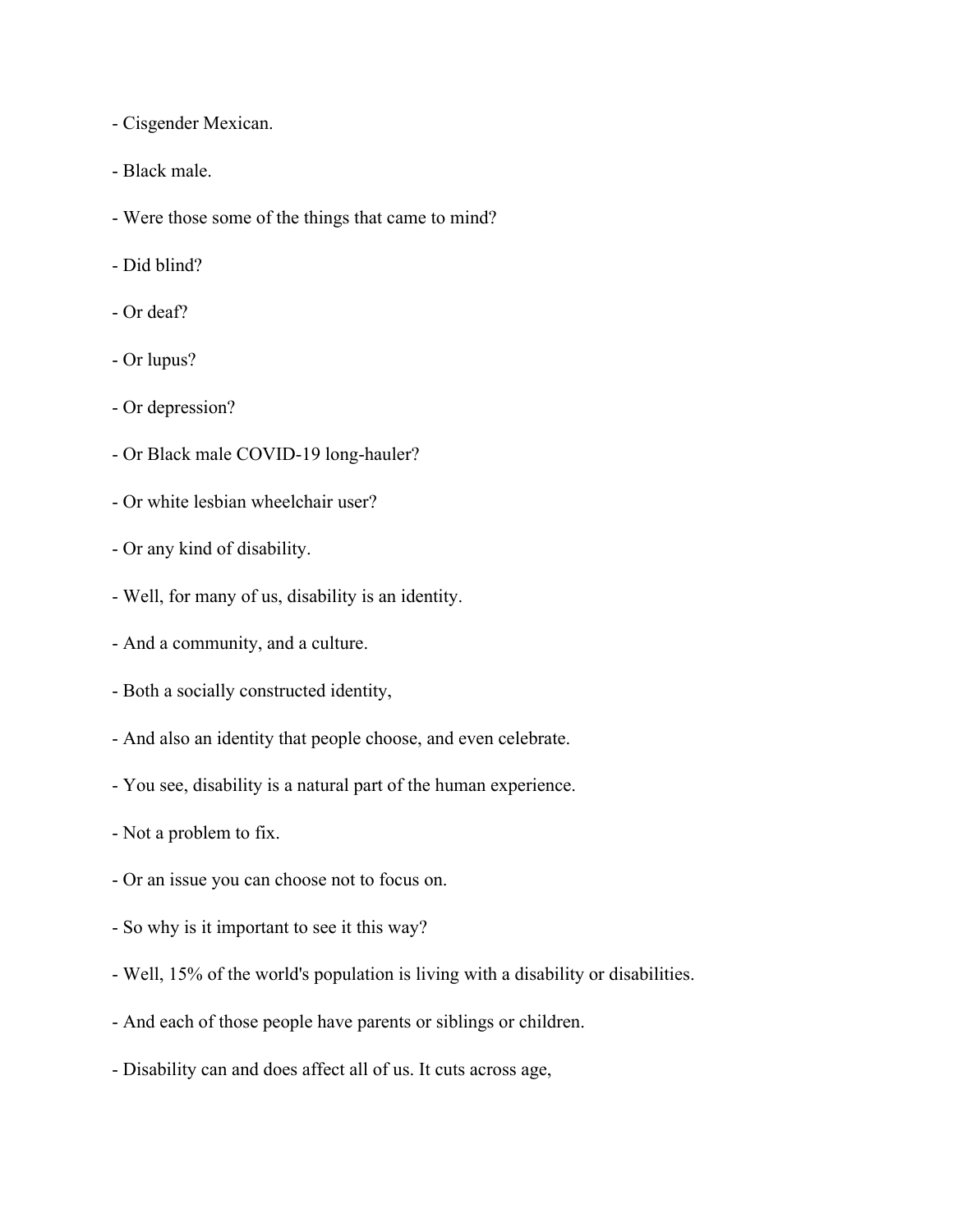- Cisgender Mexican.

- Black male.
- Were those some of the things that came to mind?
- Did blind?
- Or deaf?
- Or lupus?
- Or depression?
- Or Black male COVID-19 long-hauler?
- Or white lesbian wheelchair user?
- Or any kind of disability.
- Well, for many of us, disability is an identity.
- And a community, and a culture.
- Both a socially constructed identity,
- And also an identity that people choose, and even celebrate.
- You see, disability is a natural part of the human experience.
- Not a problem to fix.
- Or an issue you can choose not to focus on.
- So why is it important to see it this way?
- Well, 15% of the world's population is living with a disability or disabilities.
- And each of those people have parents or siblings or children.
- Disability can and does affect all of us. It cuts across age,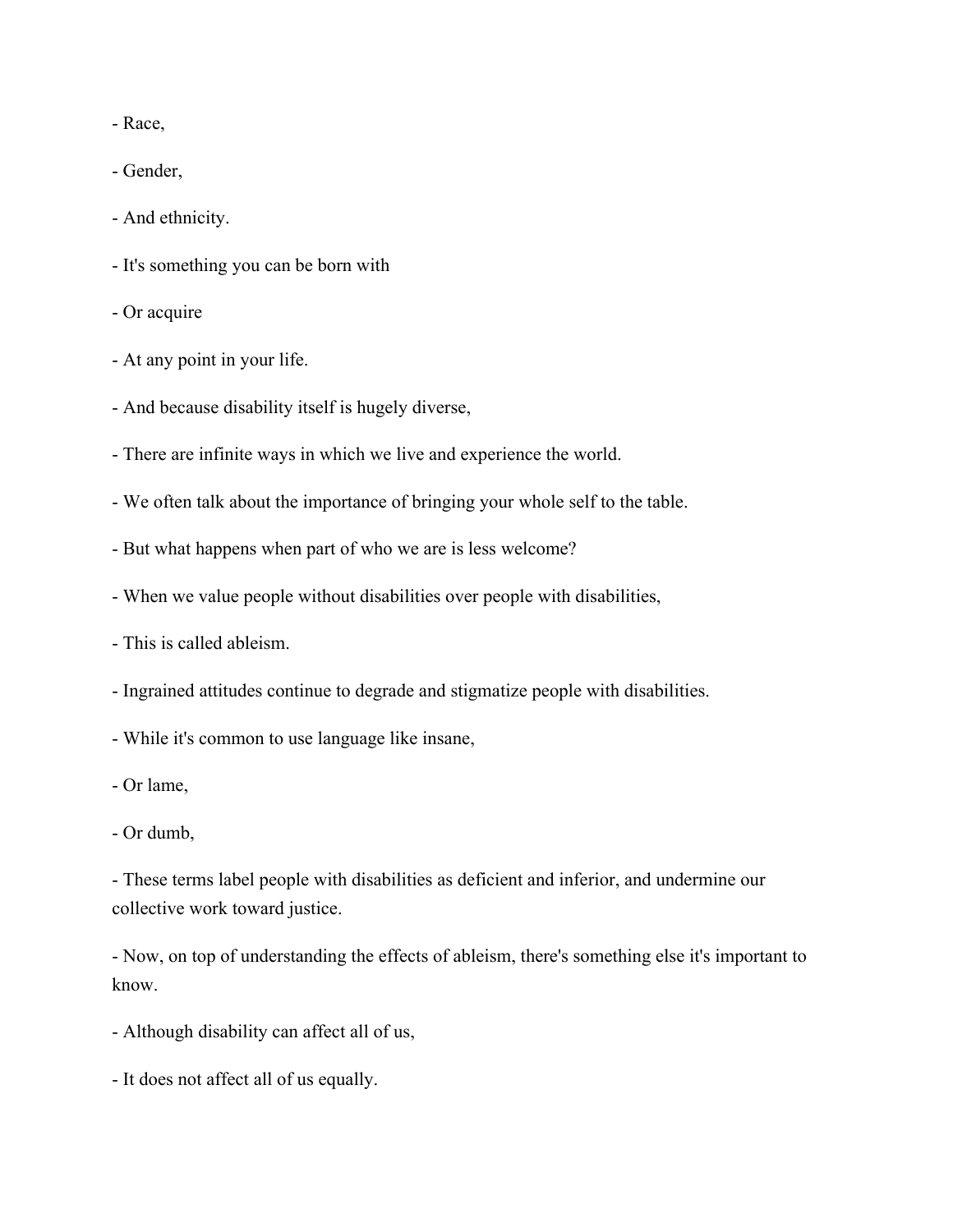- Race,

- Gender,

- And ethnicity.

- It's something you can be born with

- Or acquire

- At any point in your life.

- And because disability itself is hugely diverse,
- There are infinite ways in which we live and experience the world.
- We often talk about the importance of bringing your whole self to the table.
- But what happens when part of who we are is less welcome?
- When we value people without disabilities over people with disabilities,
- This is called ableism.
- Ingrained attitudes continue to degrade and stigmatize people with disabilities.

- While it's common to use language like insane,

- Or lame,

- These terms label people with disabilities as deficient and inferior, and undermine our collective work toward justice.

- Now, on top of understanding the effects of ableism, there's something else it's important to know.

- Although disability can affect all of us,
- It does not affect all of us equally.

<sup>-</sup> Or dumb,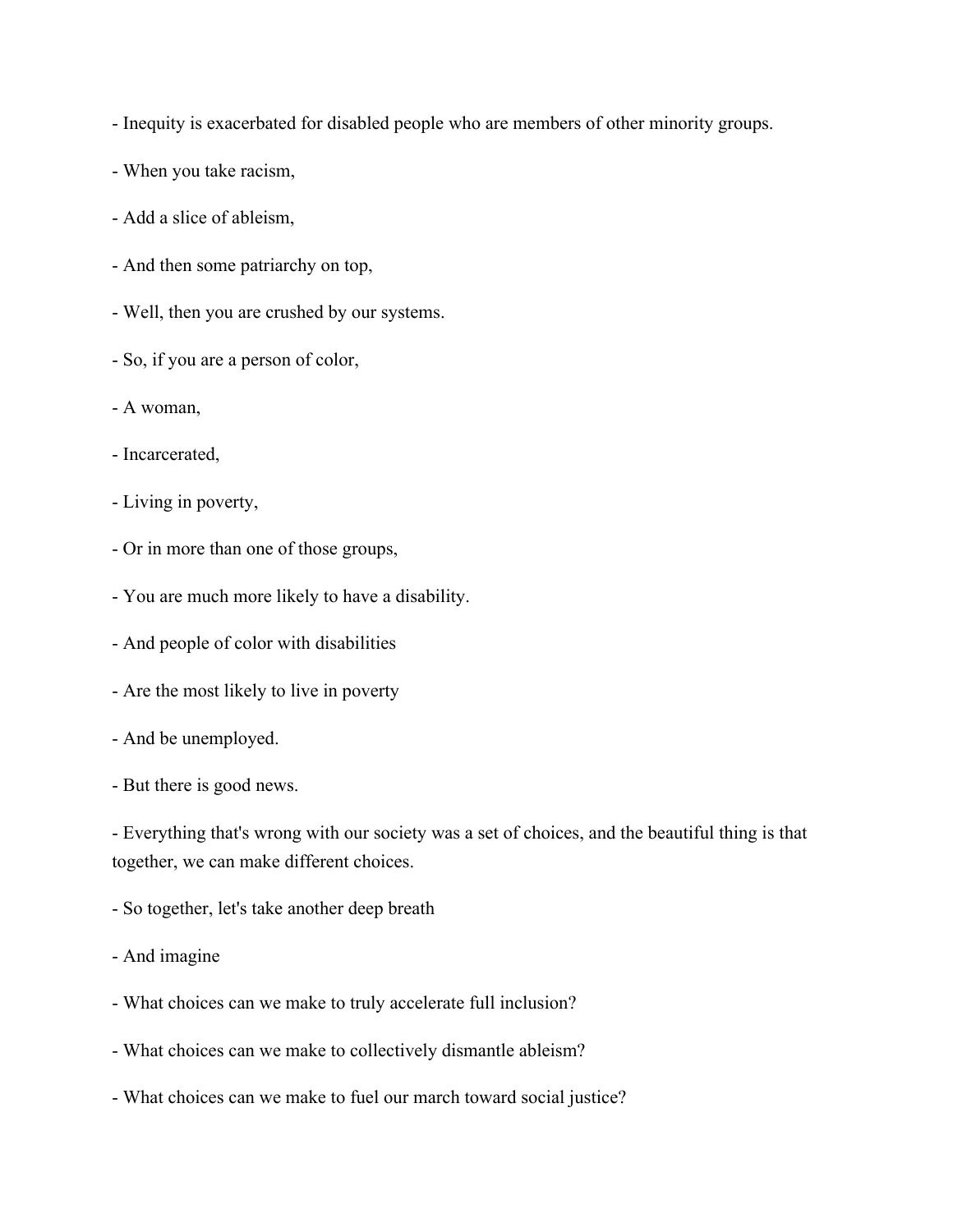- Inequity is exacerbated for disabled people who are members of other minority groups.
- When you take racism,
- Add a slice of ableism,
- And then some patriarchy on top,
- Well, then you are crushed by our systems.
- So, if you are a person of color,
- A woman,
- Incarcerated,
- Living in poverty,
- Or in more than one of those groups,
- You are much more likely to have a disability.
- And people of color with disabilities
- Are the most likely to live in poverty
- And be unemployed.
- But there is good news.

- Everything that's wrong with our society was a set of choices, and the beautiful thing is that together, we can make different choices.

- So together, let's take another deep breath
- And imagine
- What choices can we make to truly accelerate full inclusion?
- What choices can we make to collectively dismantle ableism?
- What choices can we make to fuel our march toward social justice?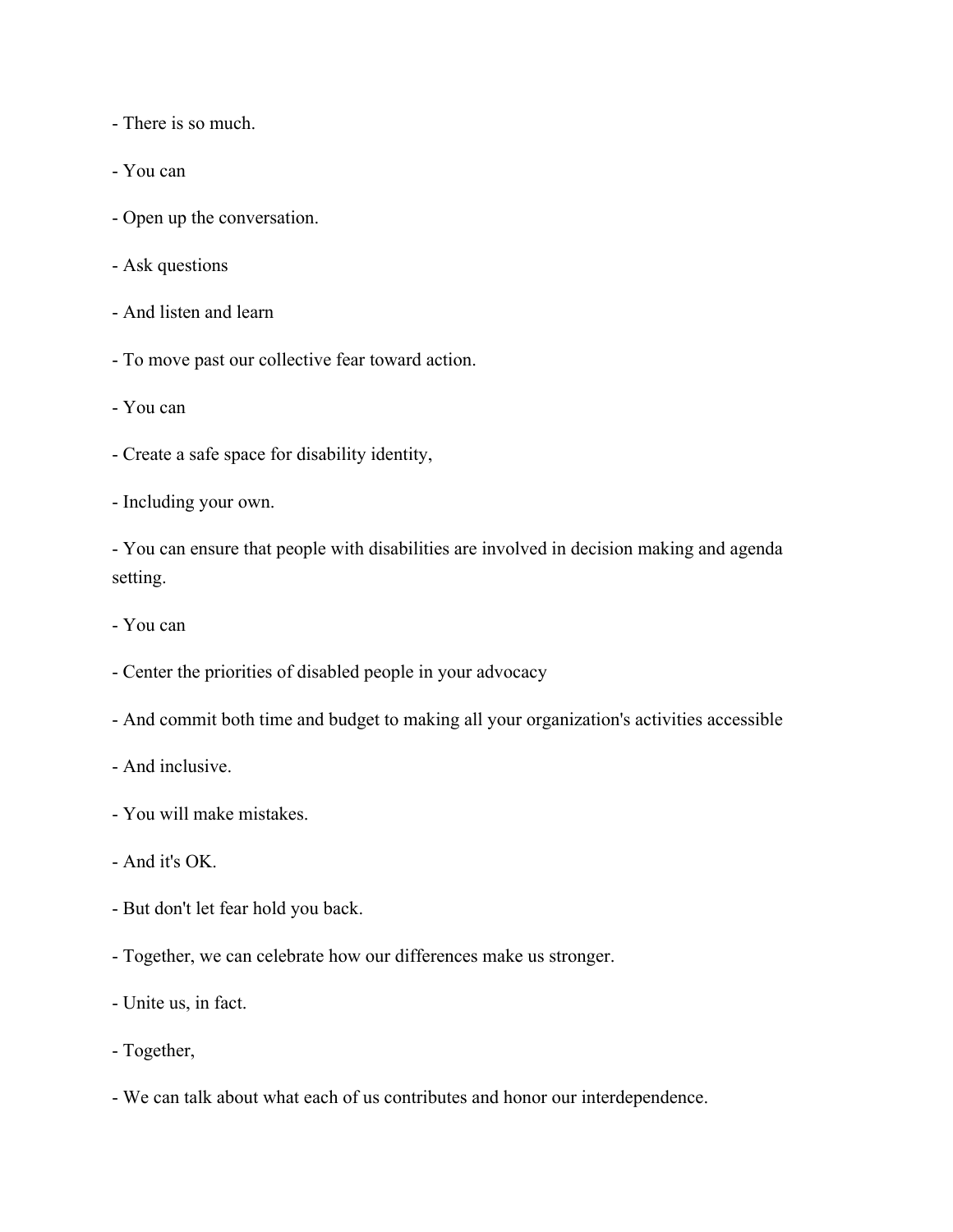- There is so much.
- You can
- Open up the conversation.
- Ask questions
- And listen and learn
- To move past our collective fear toward action.
- You can
- Create a safe space for disability identity,
- Including your own.

- You can ensure that people with disabilities are involved in decision making and agenda setting.

- You can
- Center the priorities of disabled people in your advocacy
- And commit both time and budget to making all your organization's activities accessible
- And inclusive.
- You will make mistakes.
- And it's OK.
- But don't let fear hold you back.
- Together, we can celebrate how our differences make us stronger.
- Unite us, in fact.
- Together,
- We can talk about what each of us contributes and honor our interdependence.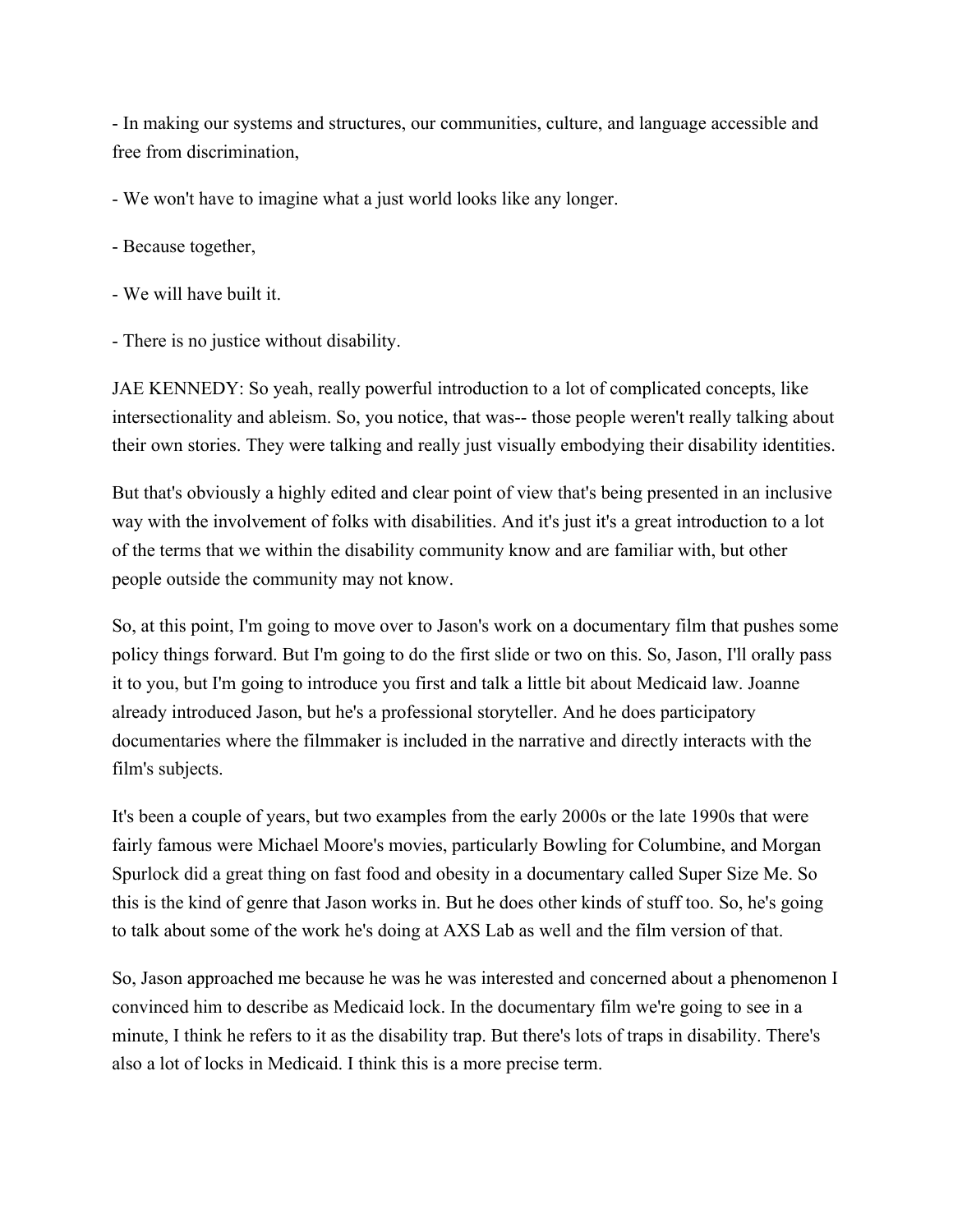- In making our systems and structures, our communities, culture, and language accessible and free from discrimination,

- We won't have to imagine what a just world looks like any longer.

- Because together,
- We will have built it.
- There is no justice without disability.

JAE KENNEDY: So yeah, really powerful introduction to a lot of complicated concepts, like intersectionality and ableism. So, you notice, that was-- those people weren't really talking about their own stories. They were talking and really just visually embodying their disability identities.

But that's obviously a highly edited and clear point of view that's being presented in an inclusive way with the involvement of folks with disabilities. And it's just it's a great introduction to a lot of the terms that we within the disability community know and are familiar with, but other people outside the community may not know.

So, at this point, I'm going to move over to Jason's work on a documentary film that pushes some policy things forward. But I'm going to do the first slide or two on this. So, Jason, I'll orally pass it to you, but I'm going to introduce you first and talk a little bit about Medicaid law. Joanne already introduced Jason, but he's a professional storyteller. And he does participatory documentaries where the filmmaker is included in the narrative and directly interacts with the film's subjects.

It's been a couple of years, but two examples from the early 2000s or the late 1990s that were fairly famous were Michael Moore's movies, particularly Bowling for Columbine, and Morgan Spurlock did a great thing on fast food and obesity in a documentary called Super Size Me. So this is the kind of genre that Jason works in. But he does other kinds of stuff too. So, he's going to talk about some of the work he's doing at AXS Lab as well and the film version of that.

So, Jason approached me because he was he was interested and concerned about a phenomenon I convinced him to describe as Medicaid lock. In the documentary film we're going to see in a minute, I think he refers to it as the disability trap. But there's lots of traps in disability. There's also a lot of locks in Medicaid. I think this is a more precise term.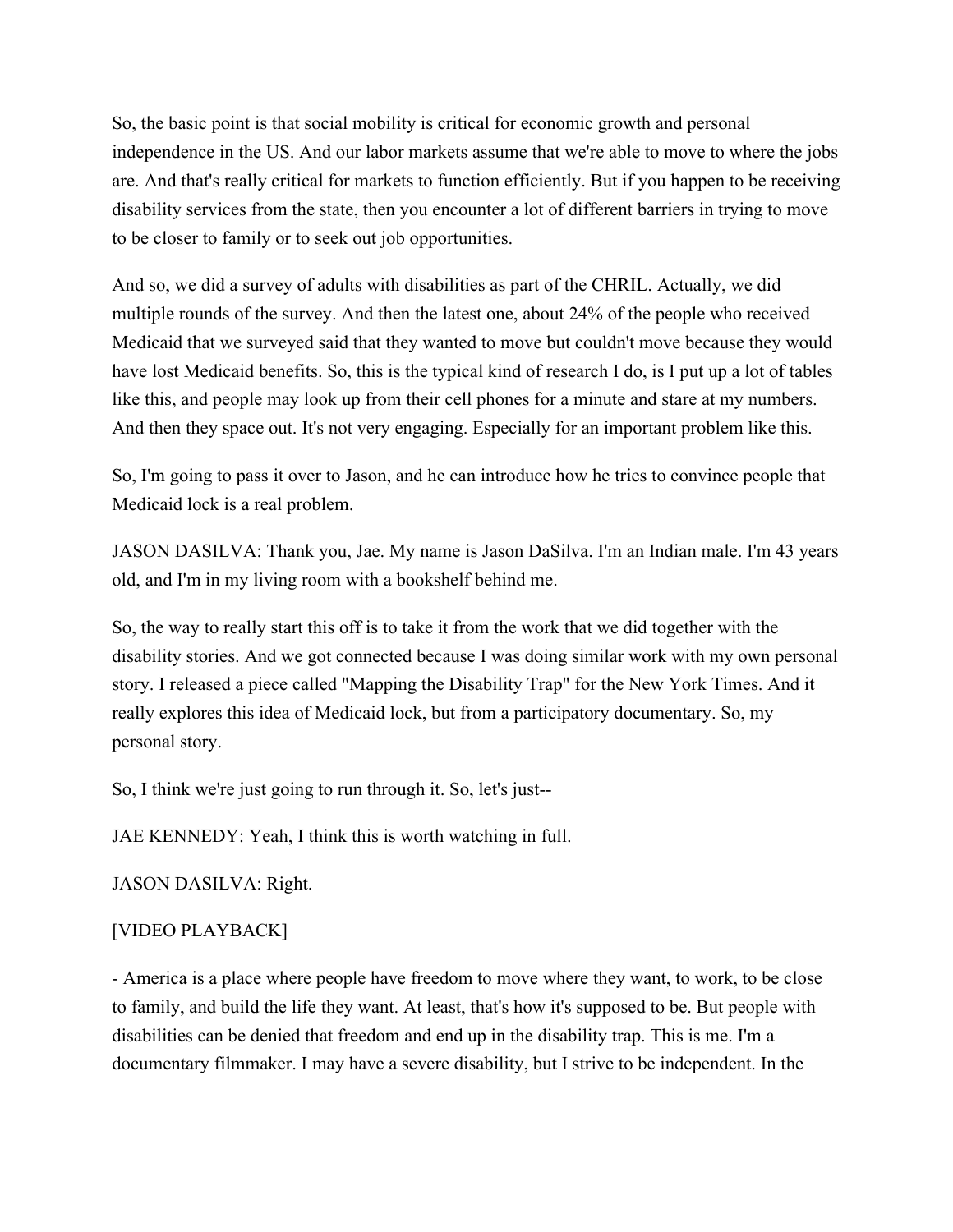So, the basic point is that social mobility is critical for economic growth and personal independence in the US. And our labor markets assume that we're able to move to where the jobs are. And that's really critical for markets to function efficiently. But if you happen to be receiving disability services from the state, then you encounter a lot of different barriers in trying to move to be closer to family or to seek out job opportunities.

And so, we did a survey of adults with disabilities as part of the CHRIL. Actually, we did multiple rounds of the survey. And then the latest one, about 24% of the people who received Medicaid that we surveyed said that they wanted to move but couldn't move because they would have lost Medicaid benefits. So, this is the typical kind of research I do, is I put up a lot of tables like this, and people may look up from their cell phones for a minute and stare at my numbers. And then they space out. It's not very engaging. Especially for an important problem like this.

So, I'm going to pass it over to Jason, and he can introduce how he tries to convince people that Medicaid lock is a real problem.

JASON DASILVA: Thank you, Jae. My name is Jason DaSilva. I'm an Indian male. I'm 43 years old, and I'm in my living room with a bookshelf behind me.

So, the way to really start this off is to take it from the work that we did together with the disability stories. And we got connected because I was doing similar work with my own personal story. I released a piece called "Mapping the Disability Trap" for the New York Times. And it really explores this idea of Medicaid lock, but from a participatory documentary. So, my personal story.

So, I think we're just going to run through it. So, let's just--

JAE KENNEDY: Yeah, I think this is worth watching in full.

JASON DASILVA: Right.

### [VIDEO PLAYBACK]

- America is a place where people have freedom to move where they want, to work, to be close to family, and build the life they want. At least, that's how it's supposed to be. But people with disabilities can be denied that freedom and end up in the disability trap. This is me. I'm a documentary filmmaker. I may have a severe disability, but I strive to be independent. In the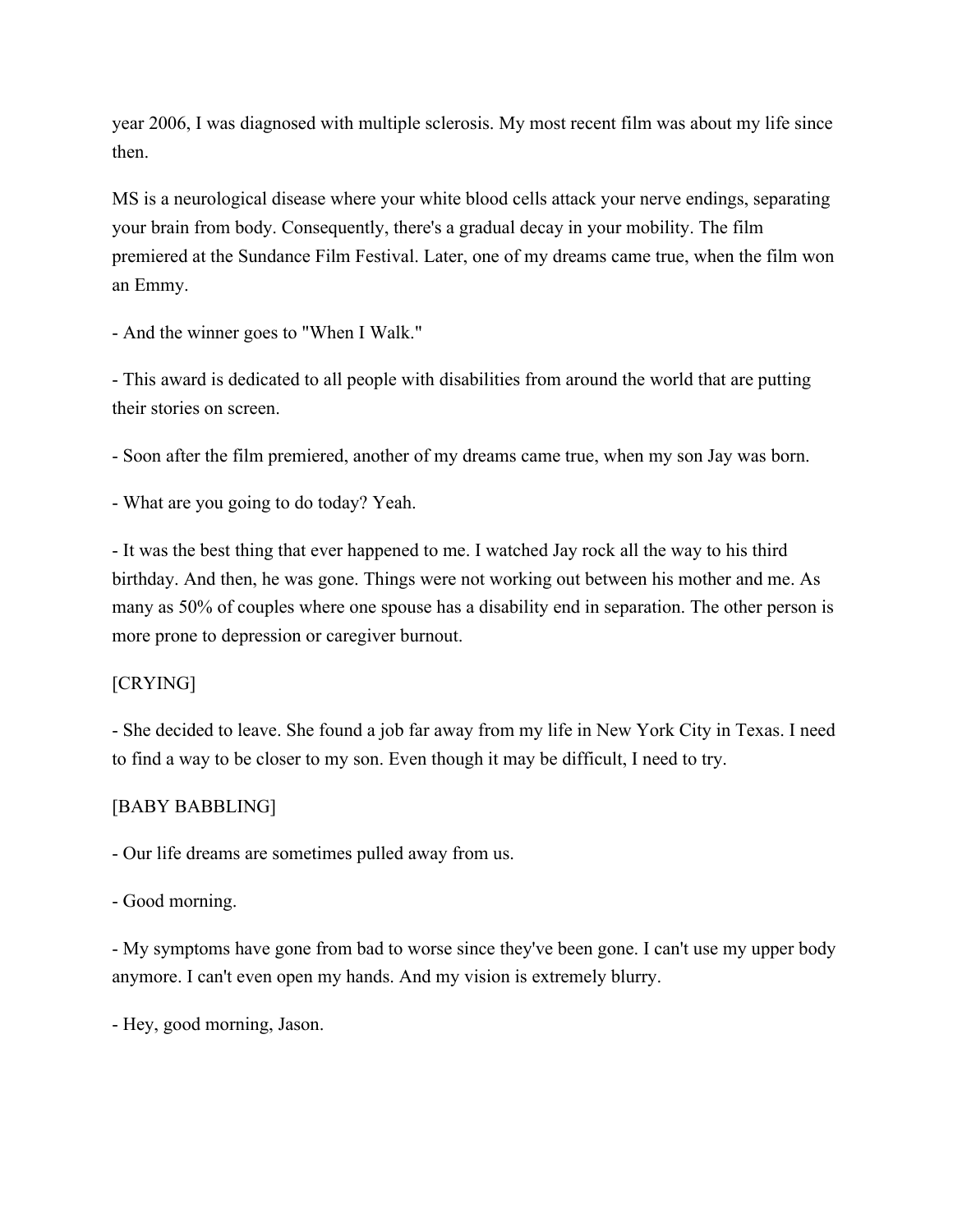year 2006, I was diagnosed with multiple sclerosis. My most recent film was about my life since then.

MS is a neurological disease where your white blood cells attack your nerve endings, separating your brain from body. Consequently, there's a gradual decay in your mobility. The film premiered at the Sundance Film Festival. Later, one of my dreams came true, when the film won an Emmy.

- And the winner goes to "When I Walk."

- This award is dedicated to all people with disabilities from around the world that are putting their stories on screen.

- Soon after the film premiered, another of my dreams came true, when my son Jay was born.

- What are you going to do today? Yeah.

- It was the best thing that ever happened to me. I watched Jay rock all the way to his third birthday. And then, he was gone. Things were not working out between his mother and me. As many as 50% of couples where one spouse has a disability end in separation. The other person is more prone to depression or caregiver burnout.

### [CRYING]

- She decided to leave. She found a job far away from my life in New York City in Texas. I need to find a way to be closer to my son. Even though it may be difficult, I need to try.

#### [BABY BABBLING]

- Our life dreams are sometimes pulled away from us.

### - Good morning.

- My symptoms have gone from bad to worse since they've been gone. I can't use my upper body anymore. I can't even open my hands. And my vision is extremely blurry.

- Hey, good morning, Jason.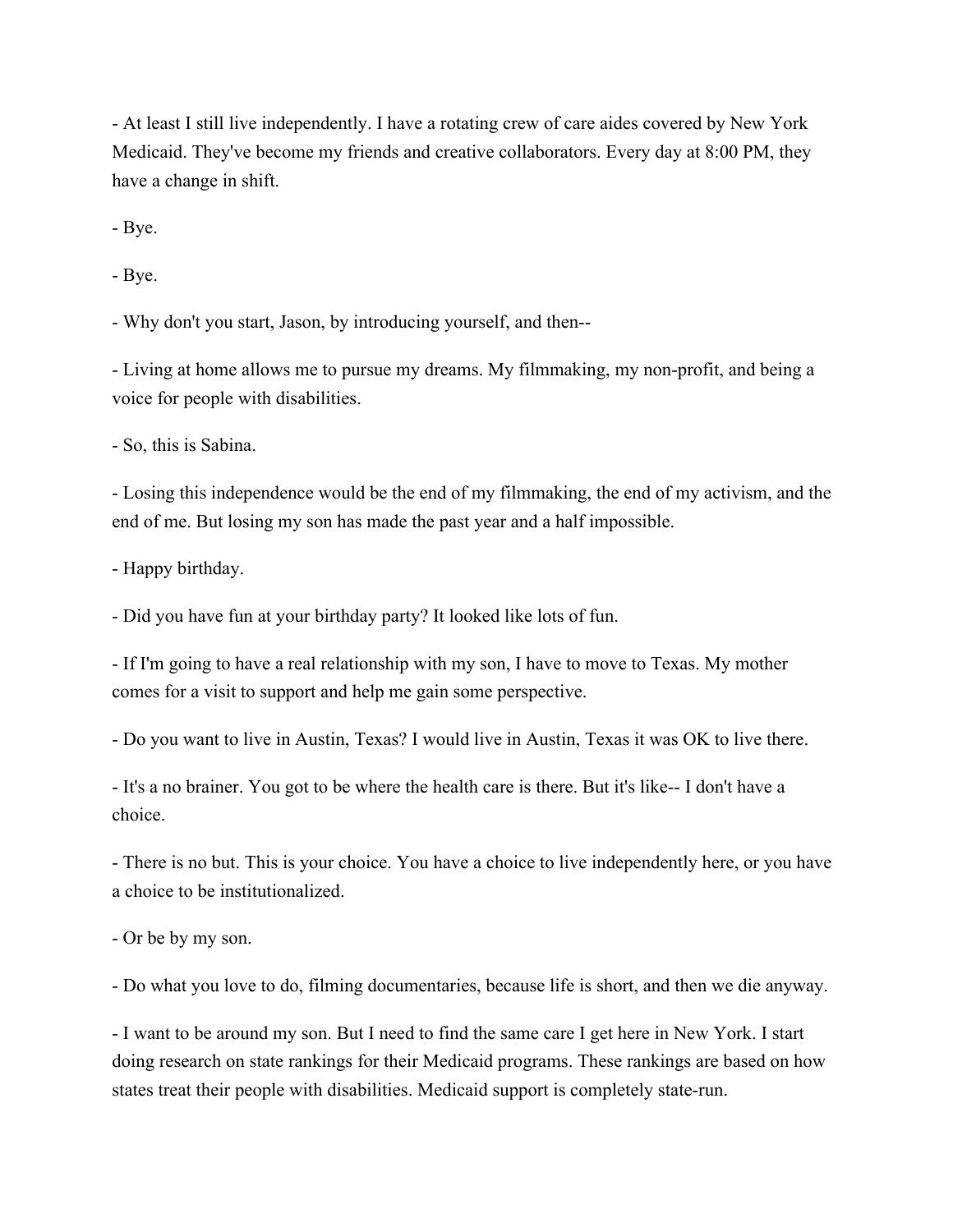- At least I still live independently. I have a rotating crew of care aides covered by New York Medicaid. They've become my friends and creative collaborators. Every day at 8:00 PM, they have a change in shift.

- Bye.

- Bye.

- Why don't you start, Jason, by introducing yourself, and then--

- Living at home allows me to pursue my dreams. My filmmaking, my non-profit, and being a voice for people with disabilities.

- So, this is Sabina.

- Losing this independence would be the end of my filmmaking, the end of my activism, and the end of me. But losing my son has made the past year and a half impossible.

- Happy birthday.

- Did you have fun at your birthday party? It looked like lots of fun.

- If I'm going to have a real relationship with my son, I have to move to Texas. My mother comes for a visit to support and help me gain some perspective.

- Do you want to live in Austin, Texas? I would live in Austin, Texas it was OK to live there.

- It's a no brainer. You got to be where the health care is there. But it's like-- I don't have a choice.

- There is no but. This is your choice. You have a choice to live independently here, or you have a choice to be institutionalized.

- Or be by my son.

- Do what you love to do, filming documentaries, because life is short, and then we die anyway.

- I want to be around my son. But I need to find the same care I get here in New York. I start doing research on state rankings for their Medicaid programs. These rankings are based on how states treat their people with disabilities. Medicaid support is completely state-run.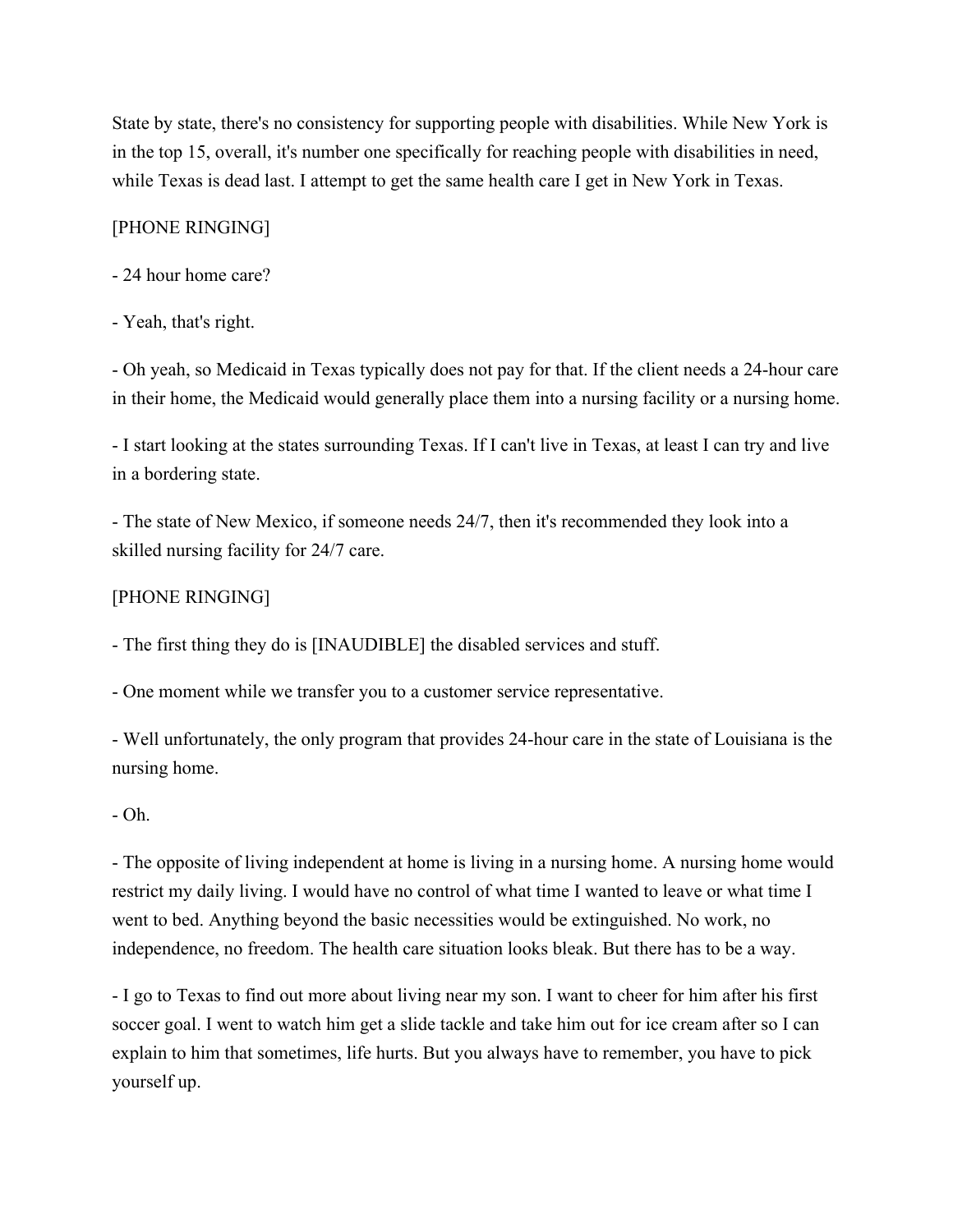State by state, there's no consistency for supporting people with disabilities. While New York is in the top 15, overall, it's number one specifically for reaching people with disabilities in need, while Texas is dead last. I attempt to get the same health care I get in New York in Texas.

### [PHONE RINGING]

- 24 hour home care?

#### - Yeah, that's right.

- Oh yeah, so Medicaid in Texas typically does not pay for that. If the client needs a 24-hour care in their home, the Medicaid would generally place them into a nursing facility or a nursing home.

- I start looking at the states surrounding Texas. If I can't live in Texas, at least I can try and live in a bordering state.

- The state of New Mexico, if someone needs 24/7, then it's recommended they look into a skilled nursing facility for 24/7 care.

#### [PHONE RINGING]

- The first thing they do is [INAUDIBLE] the disabled services and stuff.

- One moment while we transfer you to a customer service representative.

- Well unfortunately, the only program that provides 24-hour care in the state of Louisiana is the nursing home.

#### - Oh.

- The opposite of living independent at home is living in a nursing home. A nursing home would restrict my daily living. I would have no control of what time I wanted to leave or what time I went to bed. Anything beyond the basic necessities would be extinguished. No work, no independence, no freedom. The health care situation looks bleak. But there has to be a way.

- I go to Texas to find out more about living near my son. I want to cheer for him after his first soccer goal. I went to watch him get a slide tackle and take him out for ice cream after so I can explain to him that sometimes, life hurts. But you always have to remember, you have to pick yourself up.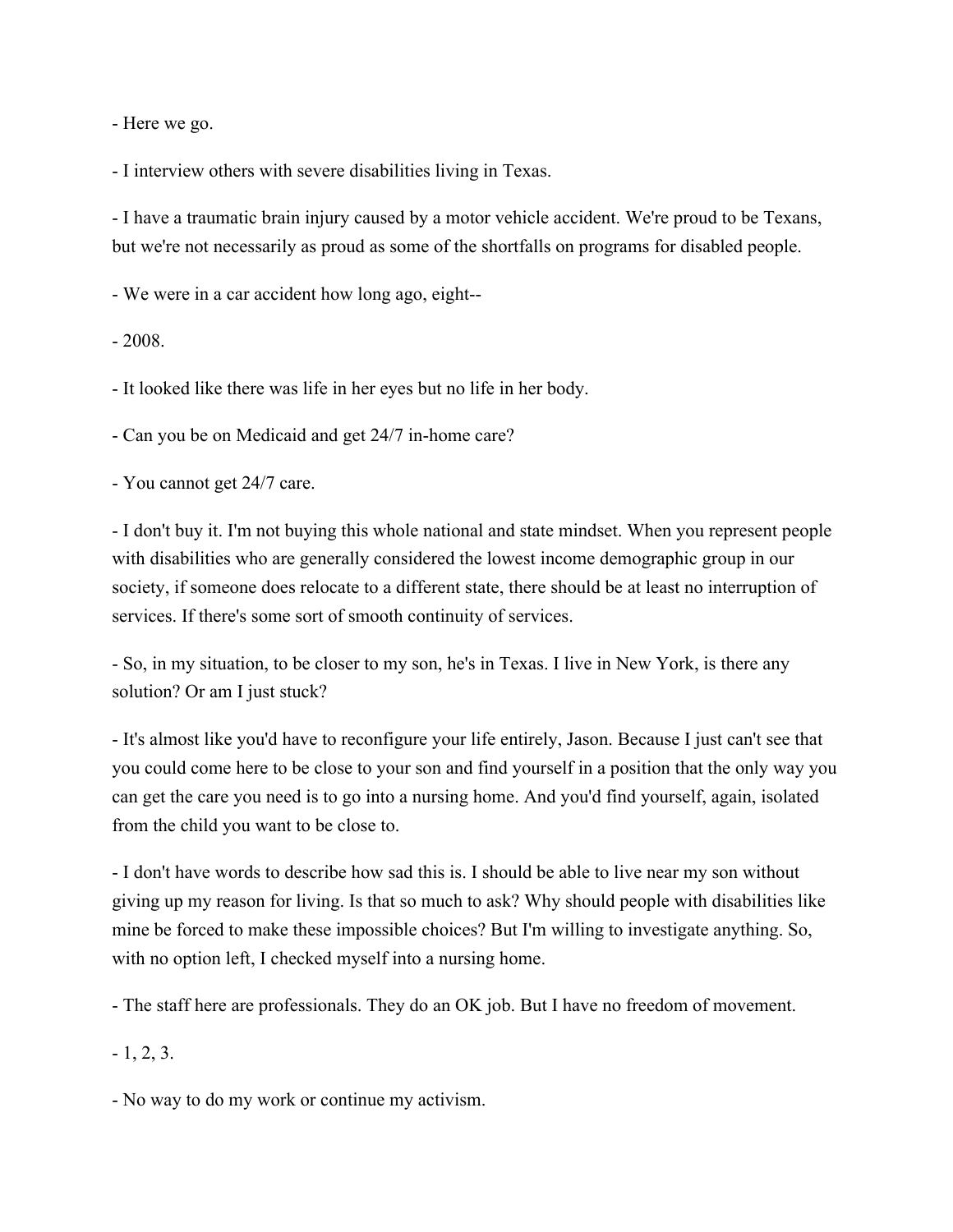- Here we go.

- I interview others with severe disabilities living in Texas.

- I have a traumatic brain injury caused by a motor vehicle accident. We're proud to be Texans, but we're not necessarily as proud as some of the shortfalls on programs for disabled people.

- We were in a car accident how long ago, eight--

- 2008.

- It looked like there was life in her eyes but no life in her body.

- Can you be on Medicaid and get 24/7 in-home care?

- You cannot get 24/7 care.

- I don't buy it. I'm not buying this whole national and state mindset. When you represent people with disabilities who are generally considered the lowest income demographic group in our society, if someone does relocate to a different state, there should be at least no interruption of services. If there's some sort of smooth continuity of services.

- So, in my situation, to be closer to my son, he's in Texas. I live in New York, is there any solution? Or am I just stuck?

- It's almost like you'd have to reconfigure your life entirely, Jason. Because I just can't see that you could come here to be close to your son and find yourself in a position that the only way you can get the care you need is to go into a nursing home. And you'd find yourself, again, isolated from the child you want to be close to.

- I don't have words to describe how sad this is. I should be able to live near my son without giving up my reason for living. Is that so much to ask? Why should people with disabilities like mine be forced to make these impossible choices? But I'm willing to investigate anything. So, with no option left, I checked myself into a nursing home.

- The staff here are professionals. They do an OK job. But I have no freedom of movement.

 $-1, 2, 3.$ 

- No way to do my work or continue my activism.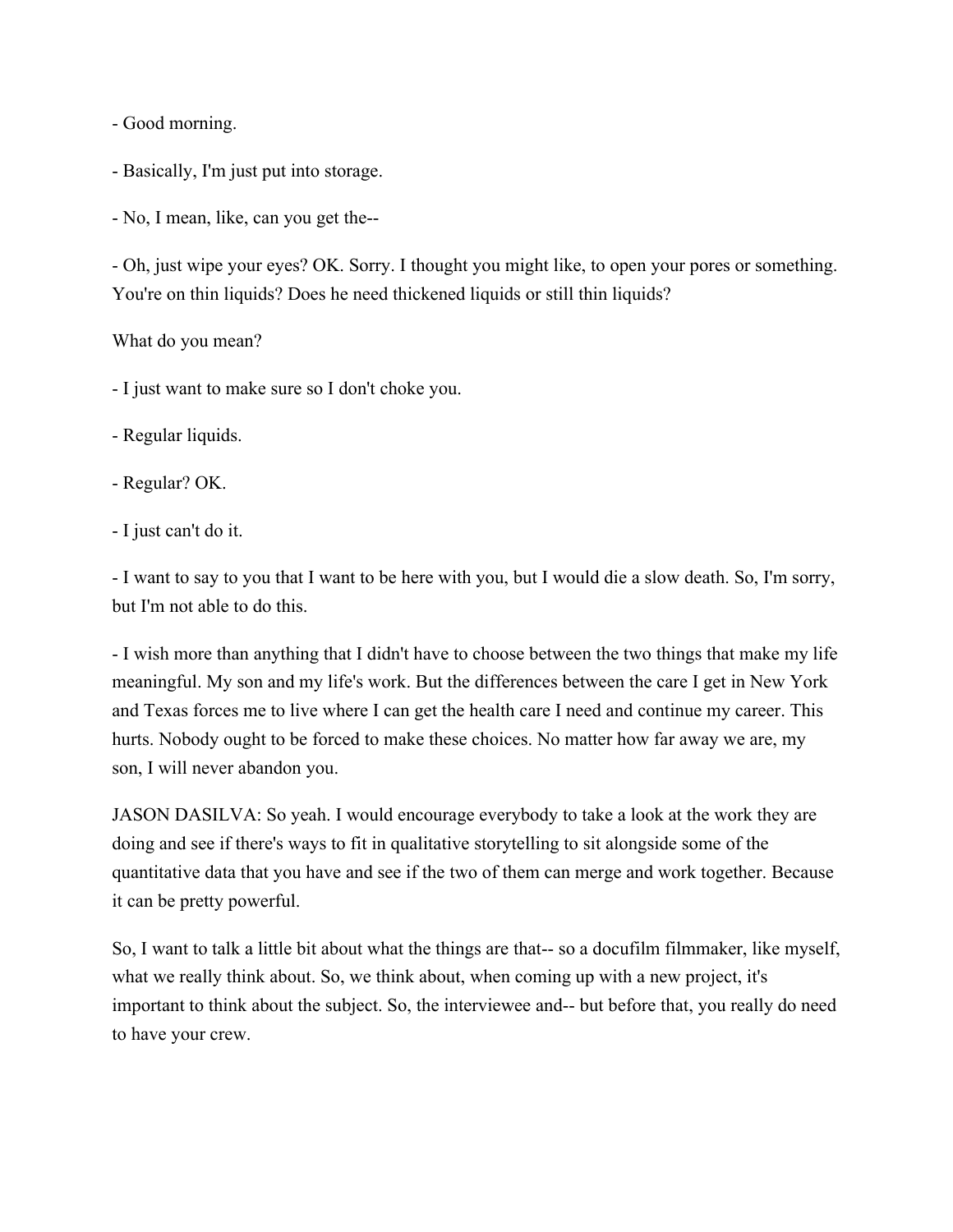- Good morning.

- Basically, I'm just put into storage.

- No, I mean, like, can you get the--

- Oh, just wipe your eyes? OK. Sorry. I thought you might like, to open your pores or something. You're on thin liquids? Does he need thickened liquids or still thin liquids?

What do you mean?

- I just want to make sure so I don't choke you.

- Regular liquids.

- Regular? OK.

- I just can't do it.

- I want to say to you that I want to be here with you, but I would die a slow death. So, I'm sorry, but I'm not able to do this.

- I wish more than anything that I didn't have to choose between the two things that make my life meaningful. My son and my life's work. But the differences between the care I get in New York and Texas forces me to live where I can get the health care I need and continue my career. This hurts. Nobody ought to be forced to make these choices. No matter how far away we are, my son, I will never abandon you.

JASON DASILVA: So yeah. I would encourage everybody to take a look at the work they are doing and see if there's ways to fit in qualitative storytelling to sit alongside some of the quantitative data that you have and see if the two of them can merge and work together. Because it can be pretty powerful.

So, I want to talk a little bit about what the things are that-- so a docufilm filmmaker, like myself, what we really think about. So, we think about, when coming up with a new project, it's important to think about the subject. So, the interviewee and-- but before that, you really do need to have your crew.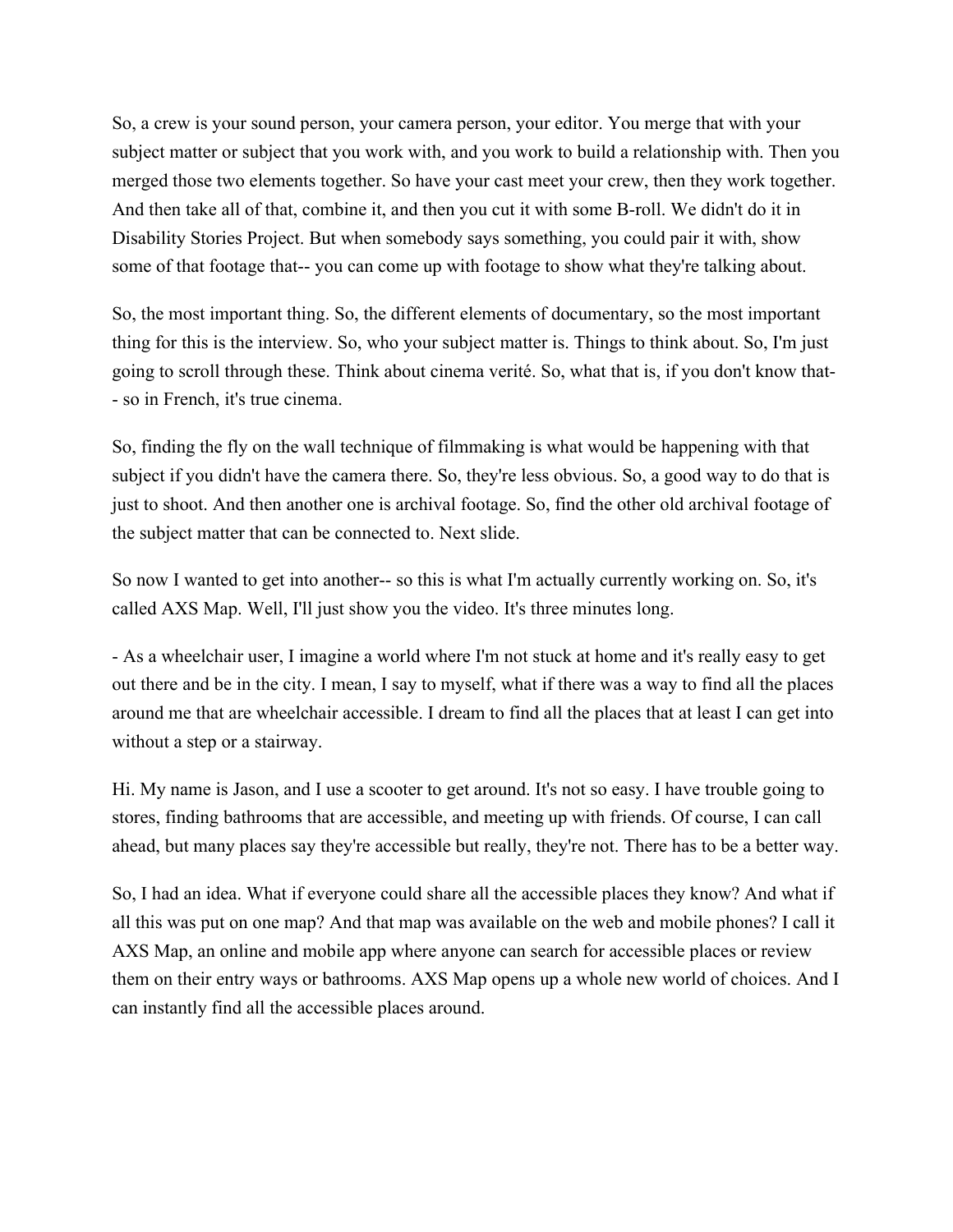So, a crew is your sound person, your camera person, your editor. You merge that with your subject matter or subject that you work with, and you work to build a relationship with. Then you merged those two elements together. So have your cast meet your crew, then they work together. And then take all of that, combine it, and then you cut it with some B-roll. We didn't do it in Disability Stories Project. But when somebody says something, you could pair it with, show some of that footage that-- you can come up with footage to show what they're talking about.

So, the most important thing. So, the different elements of documentary, so the most important thing for this is the interview. So, who your subject matter is. Things to think about. So, I'm just going to scroll through these. Think about cinema verité. So, what that is, if you don't know that- - so in French, it's true cinema.

So, finding the fly on the wall technique of filmmaking is what would be happening with that subject if you didn't have the camera there. So, they're less obvious. So, a good way to do that is just to shoot. And then another one is archival footage. So, find the other old archival footage of the subject matter that can be connected to. Next slide.

So now I wanted to get into another-- so this is what I'm actually currently working on. So, it's called AXS Map. Well, I'll just show you the video. It's three minutes long.

- As a wheelchair user, I imagine a world where I'm not stuck at home and it's really easy to get out there and be in the city. I mean, I say to myself, what if there was a way to find all the places around me that are wheelchair accessible. I dream to find all the places that at least I can get into without a step or a stairway.

Hi. My name is Jason, and I use a scooter to get around. It's not so easy. I have trouble going to stores, finding bathrooms that are accessible, and meeting up with friends. Of course, I can call ahead, but many places say they're accessible but really, they're not. There has to be a better way.

So, I had an idea. What if everyone could share all the accessible places they know? And what if all this was put on one map? And that map was available on the web and mobile phones? I call it AXS Map, an online and mobile app where anyone can search for accessible places or review them on their entry ways or bathrooms. AXS Map opens up a whole new world of choices. And I can instantly find all the accessible places around.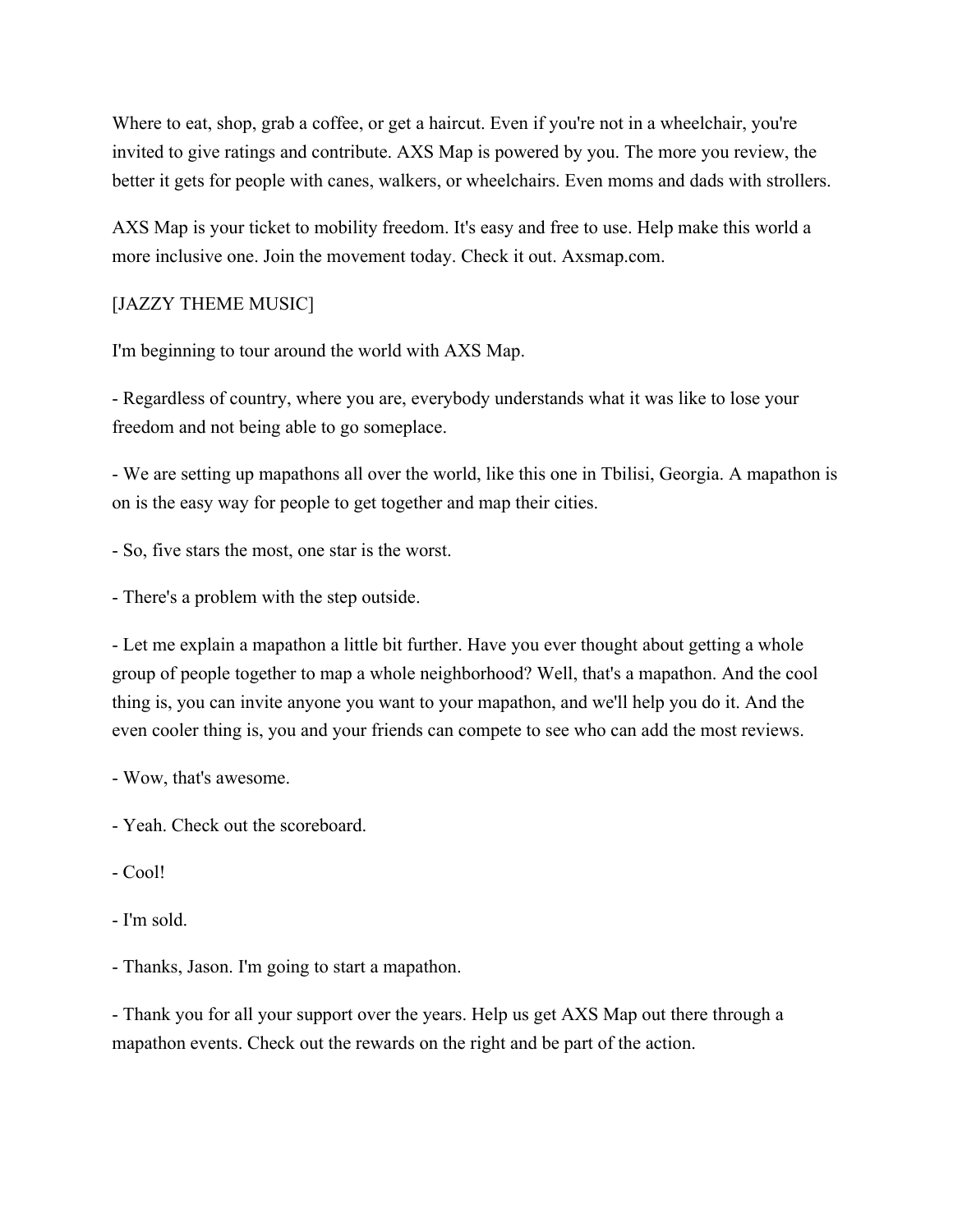Where to eat, shop, grab a coffee, or get a haircut. Even if you're not in a wheelchair, you're invited to give ratings and contribute. AXS Map is powered by you. The more you review, the better it gets for people with canes, walkers, or wheelchairs. Even moms and dads with strollers.

AXS Map is your ticket to mobility freedom. It's easy and free to use. Help make this world a more inclusive one. Join the movement today. Check it out. Axsmap.com.

#### [JAZZY THEME MUSIC]

I'm beginning to tour around the world with AXS Map.

- Regardless of country, where you are, everybody understands what it was like to lose your freedom and not being able to go someplace.

- We are setting up mapathons all over the world, like this one in Tbilisi, Georgia. A mapathon is on is the easy way for people to get together and map their cities.

- So, five stars the most, one star is the worst.

- There's a problem with the step outside.

- Let me explain a mapathon a little bit further. Have you ever thought about getting a whole group of people together to map a whole neighborhood? Well, that's a mapathon. And the cool thing is, you can invite anyone you want to your mapathon, and we'll help you do it. And the even cooler thing is, you and your friends can compete to see who can add the most reviews.

- Wow, that's awesome.

- Yeah. Check out the scoreboard.

- Cool!
- I'm sold.

- Thanks, Jason. I'm going to start a mapathon.

- Thank you for all your support over the years. Help us get AXS Map out there through a mapathon events. Check out the rewards on the right and be part of the action.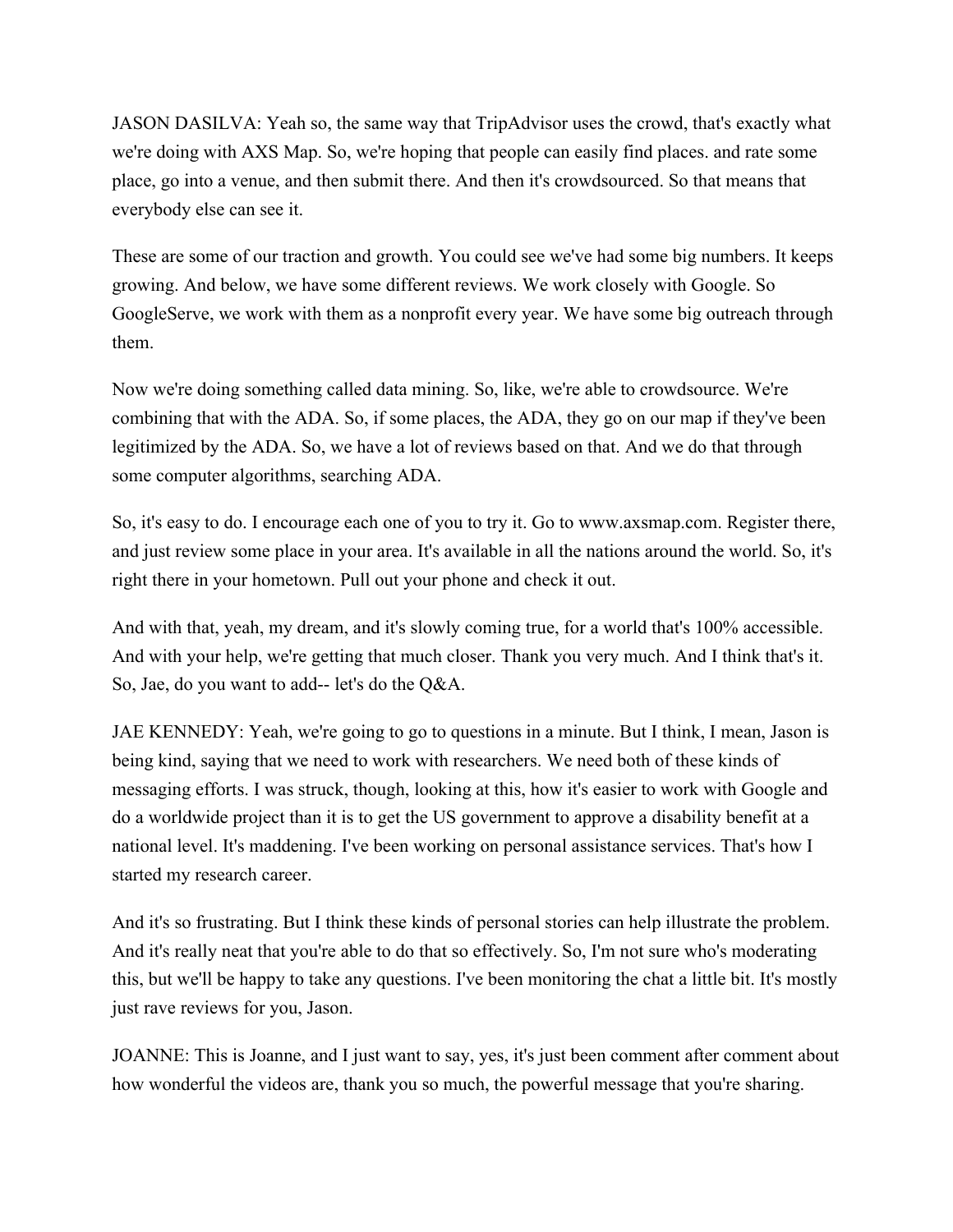JASON DASILVA: Yeah so, the same way that TripAdvisor uses the crowd, that's exactly what we're doing with AXS Map. So, we're hoping that people can easily find places. and rate some place, go into a venue, and then submit there. And then it's crowdsourced. So that means that everybody else can see it.

These are some of our traction and growth. You could see we've had some big numbers. It keeps growing. And below, we have some different reviews. We work closely with Google. So GoogleServe, we work with them as a nonprofit every year. We have some big outreach through them.

Now we're doing something called data mining. So, like, we're able to crowdsource. We're combining that with the ADA. So, if some places, the ADA, they go on our map if they've been legitimized by the ADA. So, we have a lot of reviews based on that. And we do that through some computer algorithms, searching ADA.

So, it's easy to do. I encourage each one of you to try it. Go to www.axsmap.com. Register there, and just review some place in your area. It's available in all the nations around the world. So, it's right there in your hometown. Pull out your phone and check it out.

And with that, yeah, my dream, and it's slowly coming true, for a world that's 100% accessible. And with your help, we're getting that much closer. Thank you very much. And I think that's it. So, Jae, do you want to add-- let's do the Q&A.

JAE KENNEDY: Yeah, we're going to go to questions in a minute. But I think, I mean, Jason is being kind, saying that we need to work with researchers. We need both of these kinds of messaging efforts. I was struck, though, looking at this, how it's easier to work with Google and do a worldwide project than it is to get the US government to approve a disability benefit at a national level. It's maddening. I've been working on personal assistance services. That's how I started my research career.

And it's so frustrating. But I think these kinds of personal stories can help illustrate the problem. And it's really neat that you're able to do that so effectively. So, I'm not sure who's moderating this, but we'll be happy to take any questions. I've been monitoring the chat a little bit. It's mostly just rave reviews for you, Jason.

JOANNE: This is Joanne, and I just want to say, yes, it's just been comment after comment about how wonderful the videos are, thank you so much, the powerful message that you're sharing.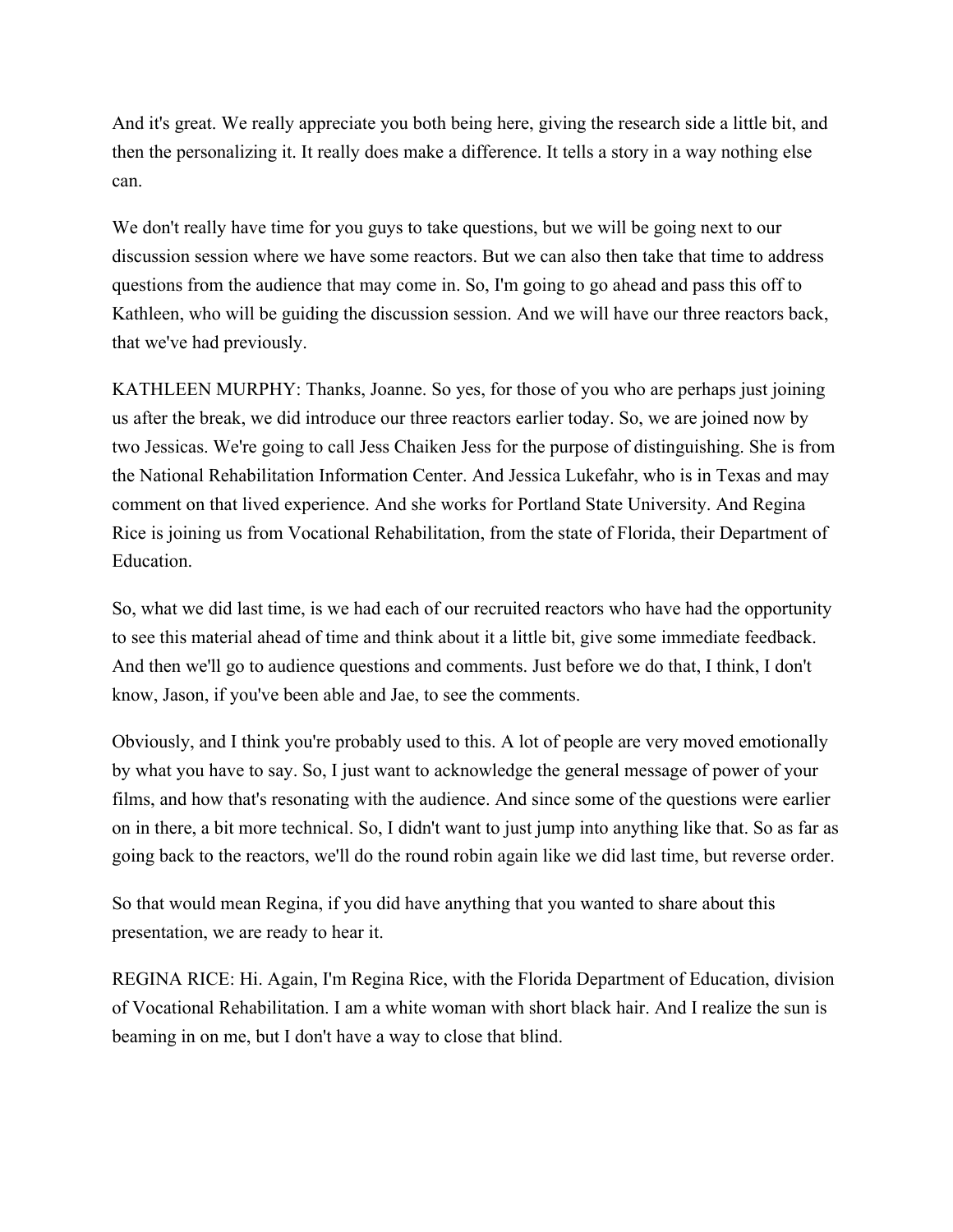And it's great. We really appreciate you both being here, giving the research side a little bit, and then the personalizing it. It really does make a difference. It tells a story in a way nothing else can.

We don't really have time for you guys to take questions, but we will be going next to our discussion session where we have some reactors. But we can also then take that time to address questions from the audience that may come in. So, I'm going to go ahead and pass this off to Kathleen, who will be guiding the discussion session. And we will have our three reactors back, that we've had previously.

KATHLEEN MURPHY: Thanks, Joanne. So yes, for those of you who are perhaps just joining us after the break, we did introduce our three reactors earlier today. So, we are joined now by two Jessicas. We're going to call Jess Chaiken Jess for the purpose of distinguishing. She is from the National Rehabilitation Information Center. And Jessica Lukefahr, who is in Texas and may comment on that lived experience. And she works for Portland State University. And Regina Rice is joining us from Vocational Rehabilitation, from the state of Florida, their Department of Education.

So, what we did last time, is we had each of our recruited reactors who have had the opportunity to see this material ahead of time and think about it a little bit, give some immediate feedback. And then we'll go to audience questions and comments. Just before we do that, I think, I don't know, Jason, if you've been able and Jae, to see the comments.

Obviously, and I think you're probably used to this. A lot of people are very moved emotionally by what you have to say. So, I just want to acknowledge the general message of power of your films, and how that's resonating with the audience. And since some of the questions were earlier on in there, a bit more technical. So, I didn't want to just jump into anything like that. So as far as going back to the reactors, we'll do the round robin again like we did last time, but reverse order.

So that would mean Regina, if you did have anything that you wanted to share about this presentation, we are ready to hear it.

REGINA RICE: Hi. Again, I'm Regina Rice, with the Florida Department of Education, division of Vocational Rehabilitation. I am a white woman with short black hair. And I realize the sun is beaming in on me, but I don't have a way to close that blind.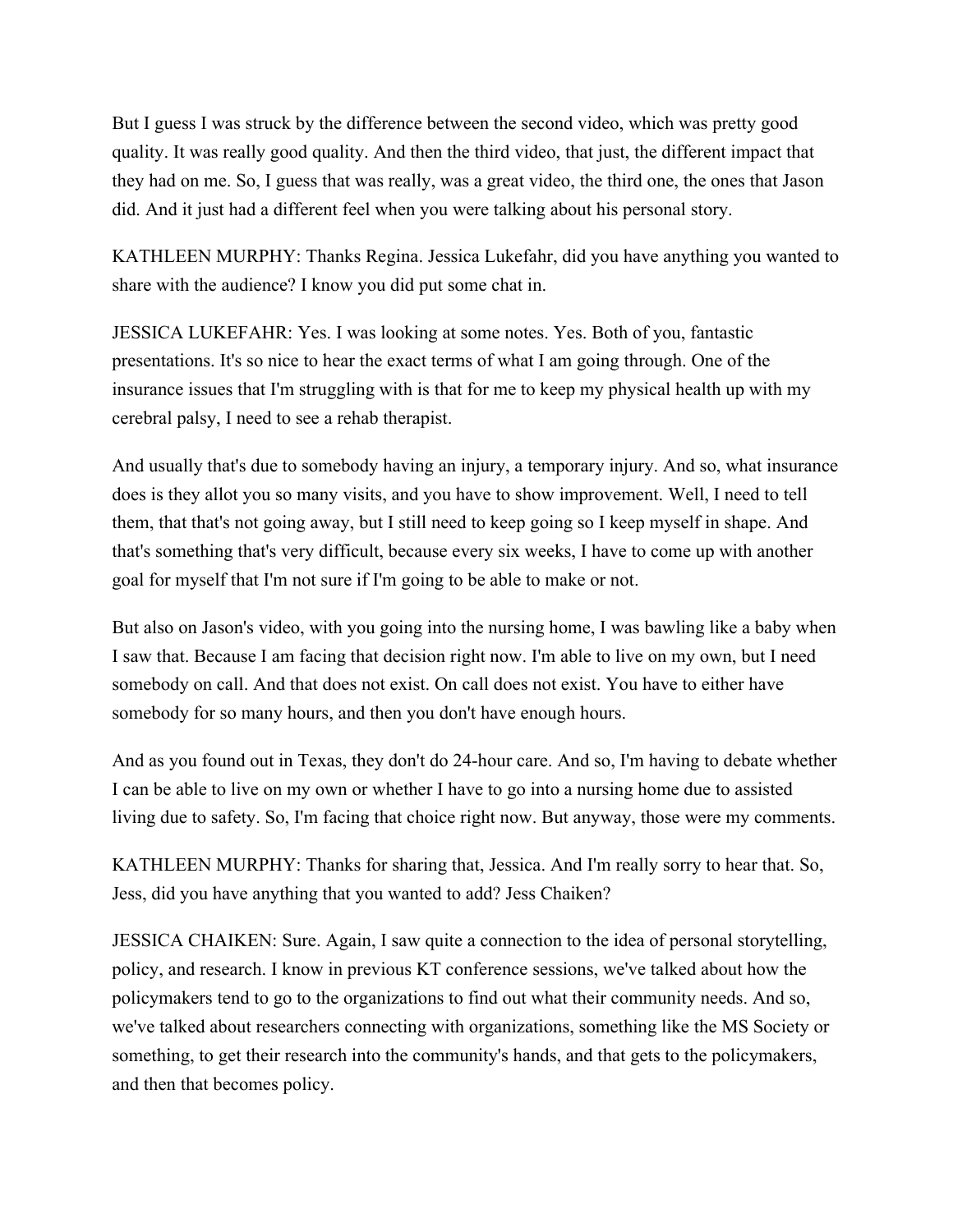But I guess I was struck by the difference between the second video, which was pretty good quality. It was really good quality. And then the third video, that just, the different impact that they had on me. So, I guess that was really, was a great video, the third one, the ones that Jason did. And it just had a different feel when you were talking about his personal story.

KATHLEEN MURPHY: Thanks Regina. Jessica Lukefahr, did you have anything you wanted to share with the audience? I know you did put some chat in.

JESSICA LUKEFAHR: Yes. I was looking at some notes. Yes. Both of you, fantastic presentations. It's so nice to hear the exact terms of what I am going through. One of the insurance issues that I'm struggling with is that for me to keep my physical health up with my cerebral palsy, I need to see a rehab therapist.

And usually that's due to somebody having an injury, a temporary injury. And so, what insurance does is they allot you so many visits, and you have to show improvement. Well, I need to tell them, that that's not going away, but I still need to keep going so I keep myself in shape. And that's something that's very difficult, because every six weeks, I have to come up with another goal for myself that I'm not sure if I'm going to be able to make or not.

But also on Jason's video, with you going into the nursing home, I was bawling like a baby when I saw that. Because I am facing that decision right now. I'm able to live on my own, but I need somebody on call. And that does not exist. On call does not exist. You have to either have somebody for so many hours, and then you don't have enough hours.

And as you found out in Texas, they don't do 24-hour care. And so, I'm having to debate whether I can be able to live on my own or whether I have to go into a nursing home due to assisted living due to safety. So, I'm facing that choice right now. But anyway, those were my comments.

KATHLEEN MURPHY: Thanks for sharing that, Jessica. And I'm really sorry to hear that. So, Jess, did you have anything that you wanted to add? Jess Chaiken?

JESSICA CHAIKEN: Sure. Again, I saw quite a connection to the idea of personal storytelling, policy, and research. I know in previous KT conference sessions, we've talked about how the policymakers tend to go to the organizations to find out what their community needs. And so, we've talked about researchers connecting with organizations, something like the MS Society or something, to get their research into the community's hands, and that gets to the policymakers, and then that becomes policy.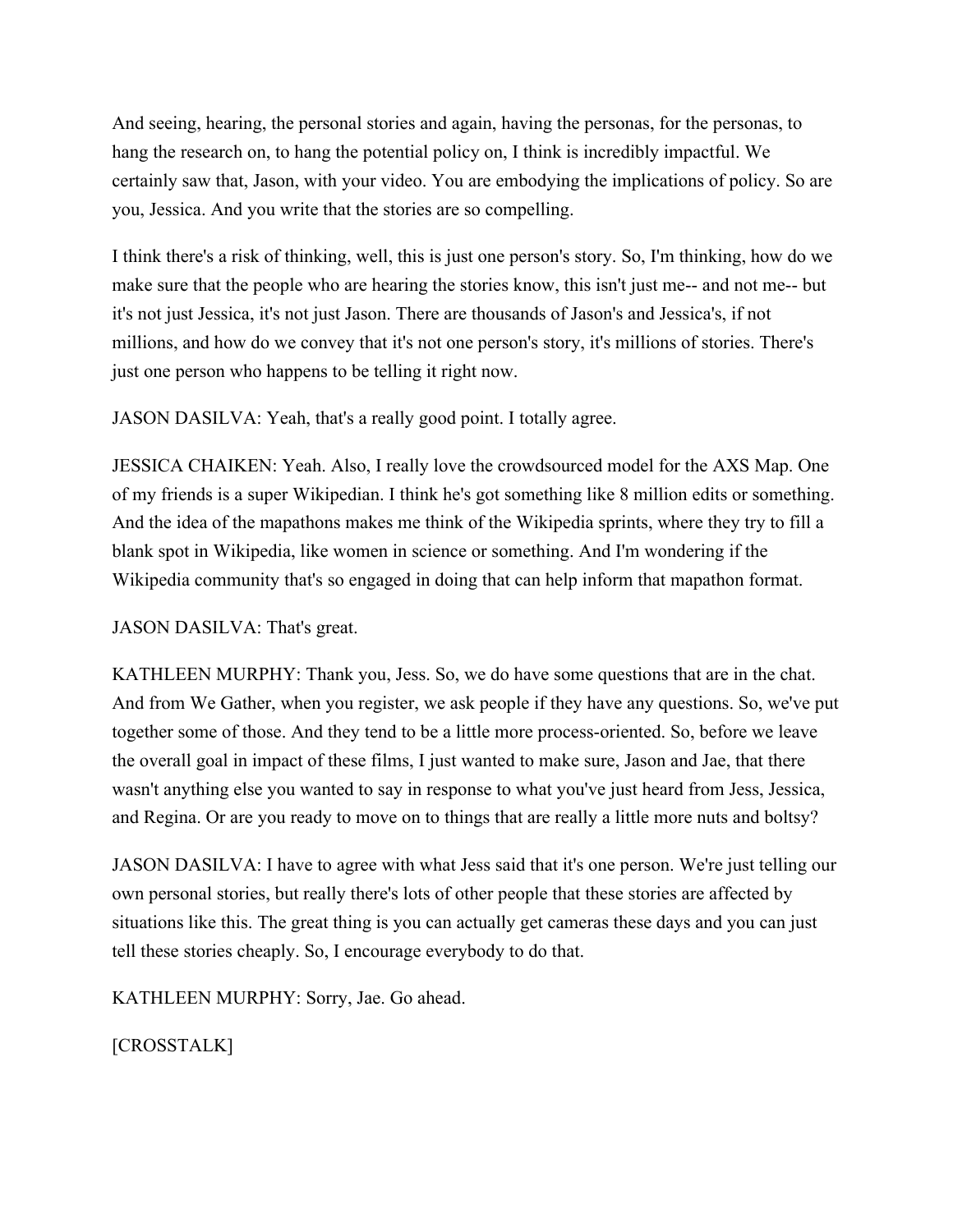And seeing, hearing, the personal stories and again, having the personas, for the personas, to hang the research on, to hang the potential policy on, I think is incredibly impactful. We certainly saw that, Jason, with your video. You are embodying the implications of policy. So are you, Jessica. And you write that the stories are so compelling.

I think there's a risk of thinking, well, this is just one person's story. So, I'm thinking, how do we make sure that the people who are hearing the stories know, this isn't just me-- and not me-- but it's not just Jessica, it's not just Jason. There are thousands of Jason's and Jessica's, if not millions, and how do we convey that it's not one person's story, it's millions of stories. There's just one person who happens to be telling it right now.

JASON DASILVA: Yeah, that's a really good point. I totally agree.

JESSICA CHAIKEN: Yeah. Also, I really love the crowdsourced model for the AXS Map. One of my friends is a super Wikipedian. I think he's got something like 8 million edits or something. And the idea of the mapathons makes me think of the Wikipedia sprints, where they try to fill a blank spot in Wikipedia, like women in science or something. And I'm wondering if the Wikipedia community that's so engaged in doing that can help inform that mapathon format.

JASON DASILVA: That's great.

KATHLEEN MURPHY: Thank you, Jess. So, we do have some questions that are in the chat. And from We Gather, when you register, we ask people if they have any questions. So, we've put together some of those. And they tend to be a little more process-oriented. So, before we leave the overall goal in impact of these films, I just wanted to make sure, Jason and Jae, that there wasn't anything else you wanted to say in response to what you've just heard from Jess, Jessica, and Regina. Or are you ready to move on to things that are really a little more nuts and boltsy?

JASON DASILVA: I have to agree with what Jess said that it's one person. We're just telling our own personal stories, but really there's lots of other people that these stories are affected by situations like this. The great thing is you can actually get cameras these days and you can just tell these stories cheaply. So, I encourage everybody to do that.

KATHLEEN MURPHY: Sorry, Jae. Go ahead.

[CROSSTALK]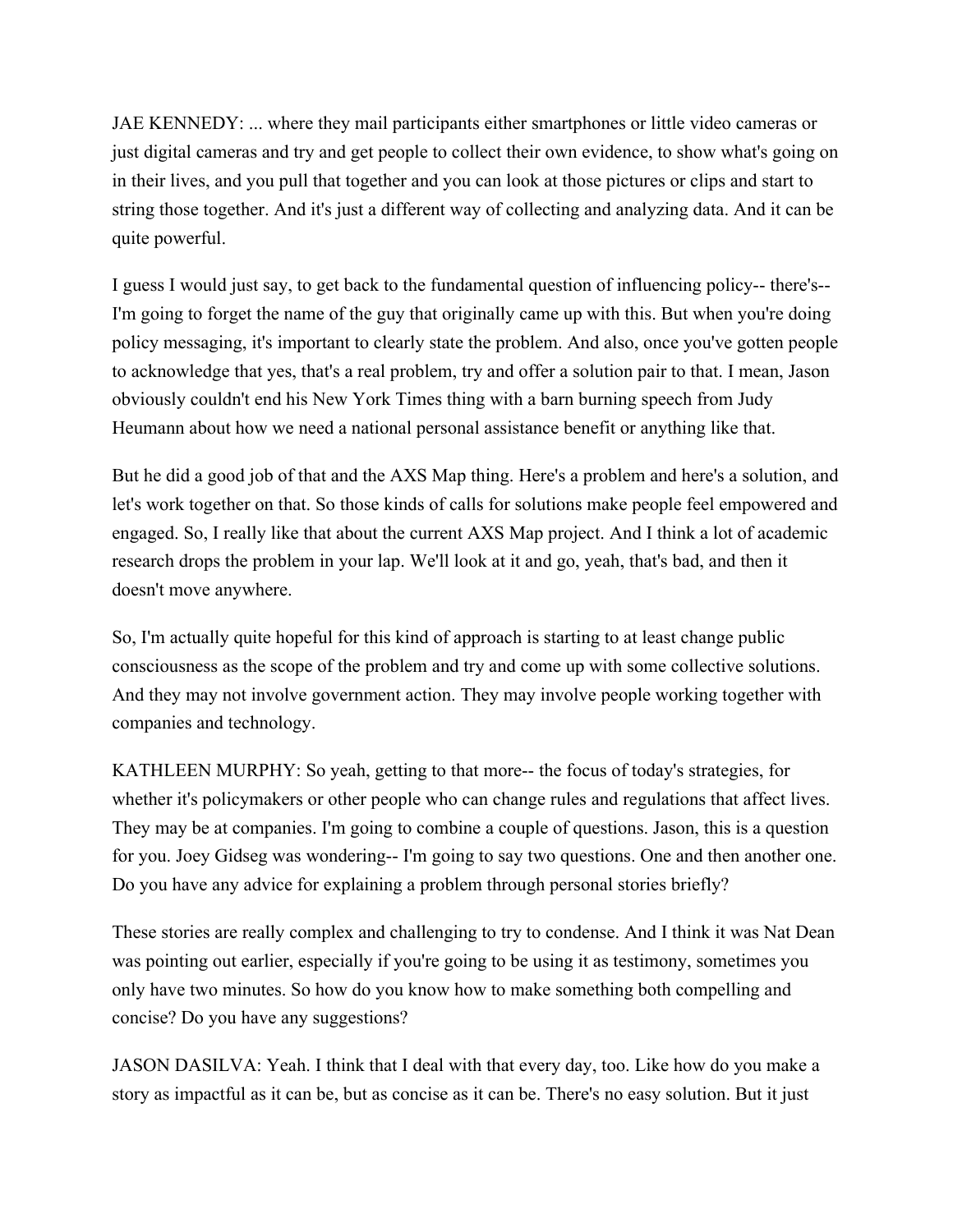JAE KENNEDY: ... where they mail participants either smartphones or little video cameras or just digital cameras and try and get people to collect their own evidence, to show what's going on in their lives, and you pull that together and you can look at those pictures or clips and start to string those together. And it's just a different way of collecting and analyzing data. And it can be quite powerful.

I guess I would just say, to get back to the fundamental question of influencing policy-- there's-- I'm going to forget the name of the guy that originally came up with this. But when you're doing policy messaging, it's important to clearly state the problem. And also, once you've gotten people to acknowledge that yes, that's a real problem, try and offer a solution pair to that. I mean, Jason obviously couldn't end his New York Times thing with a barn burning speech from Judy Heumann about how we need a national personal assistance benefit or anything like that.

But he did a good job of that and the AXS Map thing. Here's a problem and here's a solution, and let's work together on that. So those kinds of calls for solutions make people feel empowered and engaged. So, I really like that about the current AXS Map project. And I think a lot of academic research drops the problem in your lap. We'll look at it and go, yeah, that's bad, and then it doesn't move anywhere.

So, I'm actually quite hopeful for this kind of approach is starting to at least change public consciousness as the scope of the problem and try and come up with some collective solutions. And they may not involve government action. They may involve people working together with companies and technology.

KATHLEEN MURPHY: So yeah, getting to that more-- the focus of today's strategies, for whether it's policymakers or other people who can change rules and regulations that affect lives. They may be at companies. I'm going to combine a couple of questions. Jason, this is a question for you. Joey Gidseg was wondering-- I'm going to say two questions. One and then another one. Do you have any advice for explaining a problem through personal stories briefly?

These stories are really complex and challenging to try to condense. And I think it was Nat Dean was pointing out earlier, especially if you're going to be using it as testimony, sometimes you only have two minutes. So how do you know how to make something both compelling and concise? Do you have any suggestions?

JASON DASILVA: Yeah. I think that I deal with that every day, too. Like how do you make a story as impactful as it can be, but as concise as it can be. There's no easy solution. But it just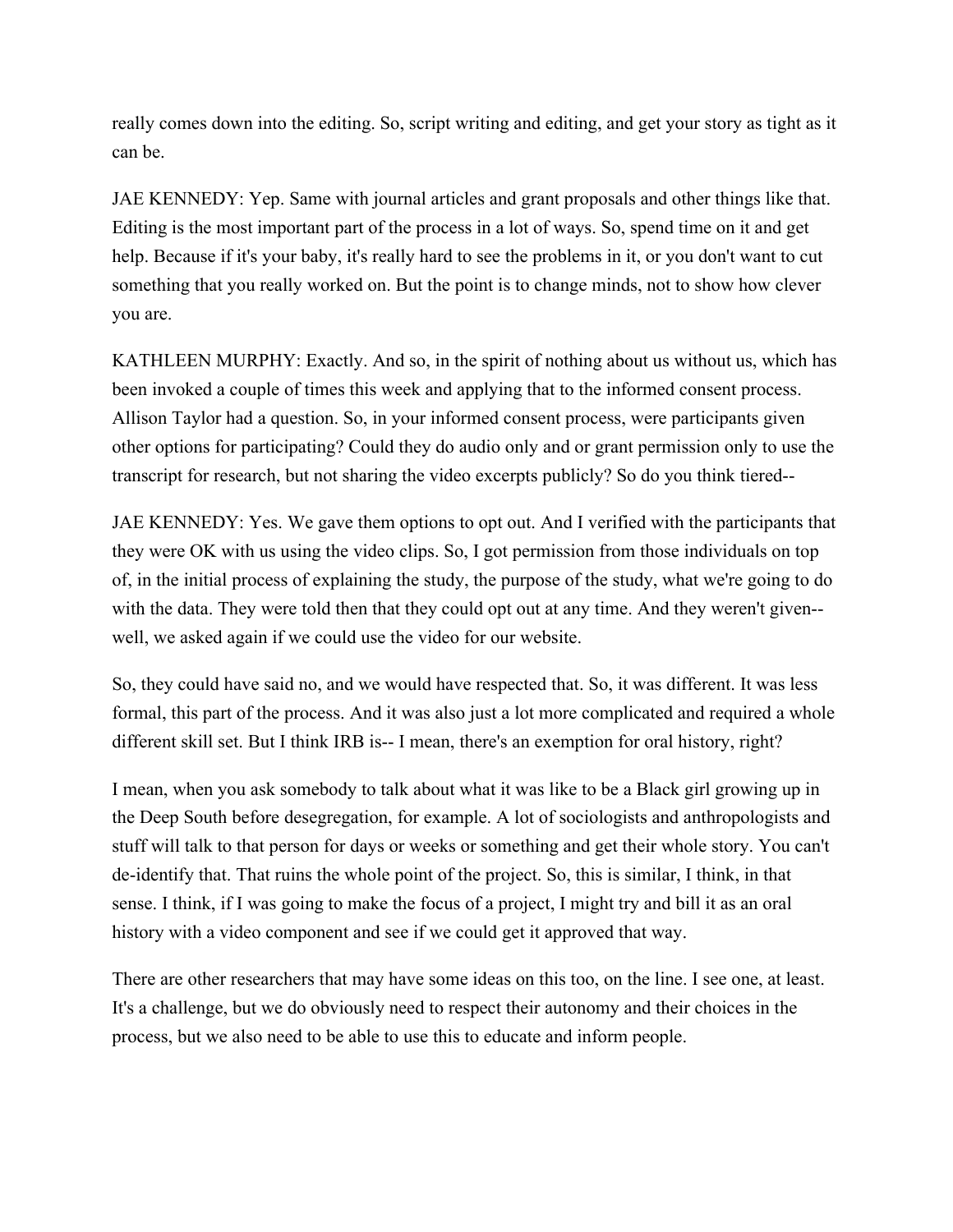really comes down into the editing. So, script writing and editing, and get your story as tight as it can be.

JAE KENNEDY: Yep. Same with journal articles and grant proposals and other things like that. Editing is the most important part of the process in a lot of ways. So, spend time on it and get help. Because if it's your baby, it's really hard to see the problems in it, or you don't want to cut something that you really worked on. But the point is to change minds, not to show how clever you are.

KATHLEEN MURPHY: Exactly. And so, in the spirit of nothing about us without us, which has been invoked a couple of times this week and applying that to the informed consent process. Allison Taylor had a question. So, in your informed consent process, were participants given other options for participating? Could they do audio only and or grant permission only to use the transcript for research, but not sharing the video excerpts publicly? So do you think tiered--

JAE KENNEDY: Yes. We gave them options to opt out. And I verified with the participants that they were OK with us using the video clips. So, I got permission from those individuals on top of, in the initial process of explaining the study, the purpose of the study, what we're going to do with the data. They were told then that they could opt out at any time. And they weren't given- well, we asked again if we could use the video for our website.

So, they could have said no, and we would have respected that. So, it was different. It was less formal, this part of the process. And it was also just a lot more complicated and required a whole different skill set. But I think IRB is-- I mean, there's an exemption for oral history, right?

I mean, when you ask somebody to talk about what it was like to be a Black girl growing up in the Deep South before desegregation, for example. A lot of sociologists and anthropologists and stuff will talk to that person for days or weeks or something and get their whole story. You can't de-identify that. That ruins the whole point of the project. So, this is similar, I think, in that sense. I think, if I was going to make the focus of a project, I might try and bill it as an oral history with a video component and see if we could get it approved that way.

There are other researchers that may have some ideas on this too, on the line. I see one, at least. It's a challenge, but we do obviously need to respect their autonomy and their choices in the process, but we also need to be able to use this to educate and inform people.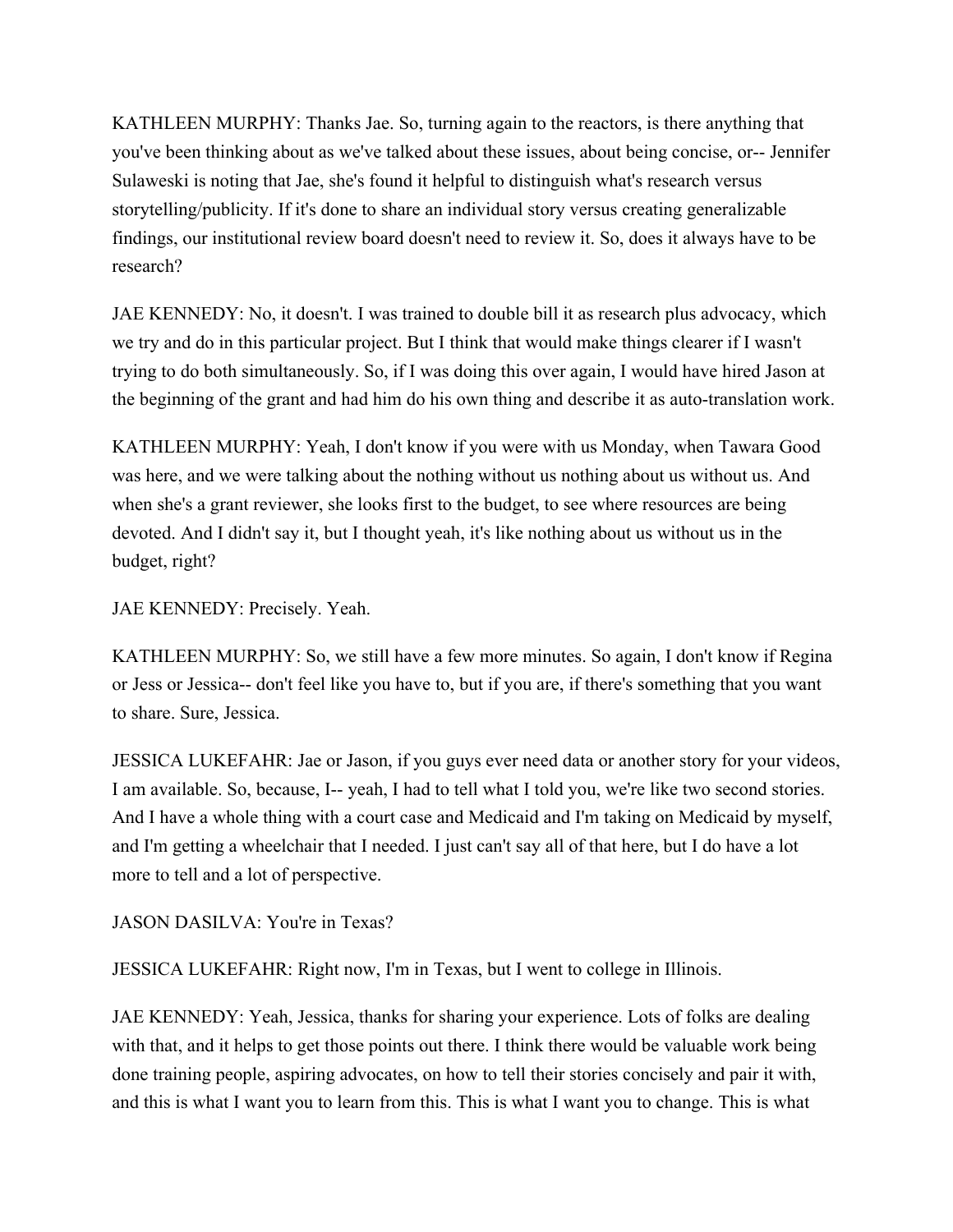KATHLEEN MURPHY: Thanks Jae. So, turning again to the reactors, is there anything that you've been thinking about as we've talked about these issues, about being concise, or-- Jennifer Sulaweski is noting that Jae, she's found it helpful to distinguish what's research versus storytelling/publicity. If it's done to share an individual story versus creating generalizable findings, our institutional review board doesn't need to review it. So, does it always have to be research?

JAE KENNEDY: No, it doesn't. I was trained to double bill it as research plus advocacy, which we try and do in this particular project. But I think that would make things clearer if I wasn't trying to do both simultaneously. So, if I was doing this over again, I would have hired Jason at the beginning of the grant and had him do his own thing and describe it as auto-translation work.

KATHLEEN MURPHY: Yeah, I don't know if you were with us Monday, when Tawara Good was here, and we were talking about the nothing without us nothing about us without us. And when she's a grant reviewer, she looks first to the budget, to see where resources are being devoted. And I didn't say it, but I thought yeah, it's like nothing about us without us in the budget, right?

JAE KENNEDY: Precisely. Yeah.

KATHLEEN MURPHY: So, we still have a few more minutes. So again, I don't know if Regina or Jess or Jessica-- don't feel like you have to, but if you are, if there's something that you want to share. Sure, Jessica.

JESSICA LUKEFAHR: Jae or Jason, if you guys ever need data or another story for your videos, I am available. So, because, I-- yeah, I had to tell what I told you, we're like two second stories. And I have a whole thing with a court case and Medicaid and I'm taking on Medicaid by myself, and I'm getting a wheelchair that I needed. I just can't say all of that here, but I do have a lot more to tell and a lot of perspective.

JASON DASILVA: You're in Texas?

JESSICA LUKEFAHR: Right now, I'm in Texas, but I went to college in Illinois.

JAE KENNEDY: Yeah, Jessica, thanks for sharing your experience. Lots of folks are dealing with that, and it helps to get those points out there. I think there would be valuable work being done training people, aspiring advocates, on how to tell their stories concisely and pair it with, and this is what I want you to learn from this. This is what I want you to change. This is what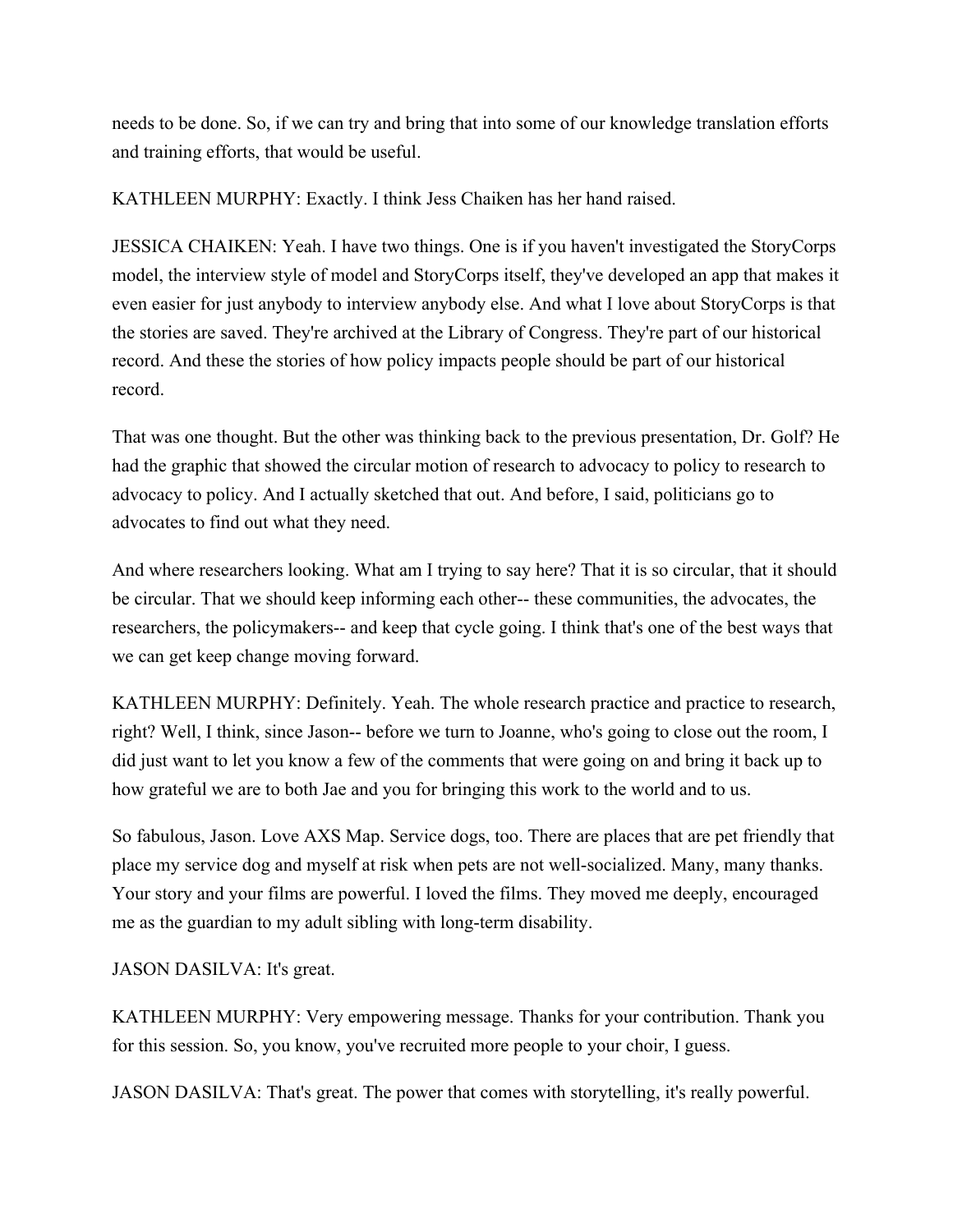needs to be done. So, if we can try and bring that into some of our knowledge translation efforts and training efforts, that would be useful.

KATHLEEN MURPHY: Exactly. I think Jess Chaiken has her hand raised.

JESSICA CHAIKEN: Yeah. I have two things. One is if you haven't investigated the StoryCorps model, the interview style of model and StoryCorps itself, they've developed an app that makes it even easier for just anybody to interview anybody else. And what I love about StoryCorps is that the stories are saved. They're archived at the Library of Congress. They're part of our historical record. And these the stories of how policy impacts people should be part of our historical record.

That was one thought. But the other was thinking back to the previous presentation, Dr. Golf? He had the graphic that showed the circular motion of research to advocacy to policy to research to advocacy to policy. And I actually sketched that out. And before, I said, politicians go to advocates to find out what they need.

And where researchers looking. What am I trying to say here? That it is so circular, that it should be circular. That we should keep informing each other-- these communities, the advocates, the researchers, the policymakers-- and keep that cycle going. I think that's one of the best ways that we can get keep change moving forward.

KATHLEEN MURPHY: Definitely. Yeah. The whole research practice and practice to research, right? Well, I think, since Jason-- before we turn to Joanne, who's going to close out the room, I did just want to let you know a few of the comments that were going on and bring it back up to how grateful we are to both Jae and you for bringing this work to the world and to us.

So fabulous, Jason. Love AXS Map. Service dogs, too. There are places that are pet friendly that place my service dog and myself at risk when pets are not well-socialized. Many, many thanks. Your story and your films are powerful. I loved the films. They moved me deeply, encouraged me as the guardian to my adult sibling with long-term disability.

JASON DASILVA: It's great.

KATHLEEN MURPHY: Very empowering message. Thanks for your contribution. Thank you for this session. So, you know, you've recruited more people to your choir, I guess.

JASON DASILVA: That's great. The power that comes with storytelling, it's really powerful.